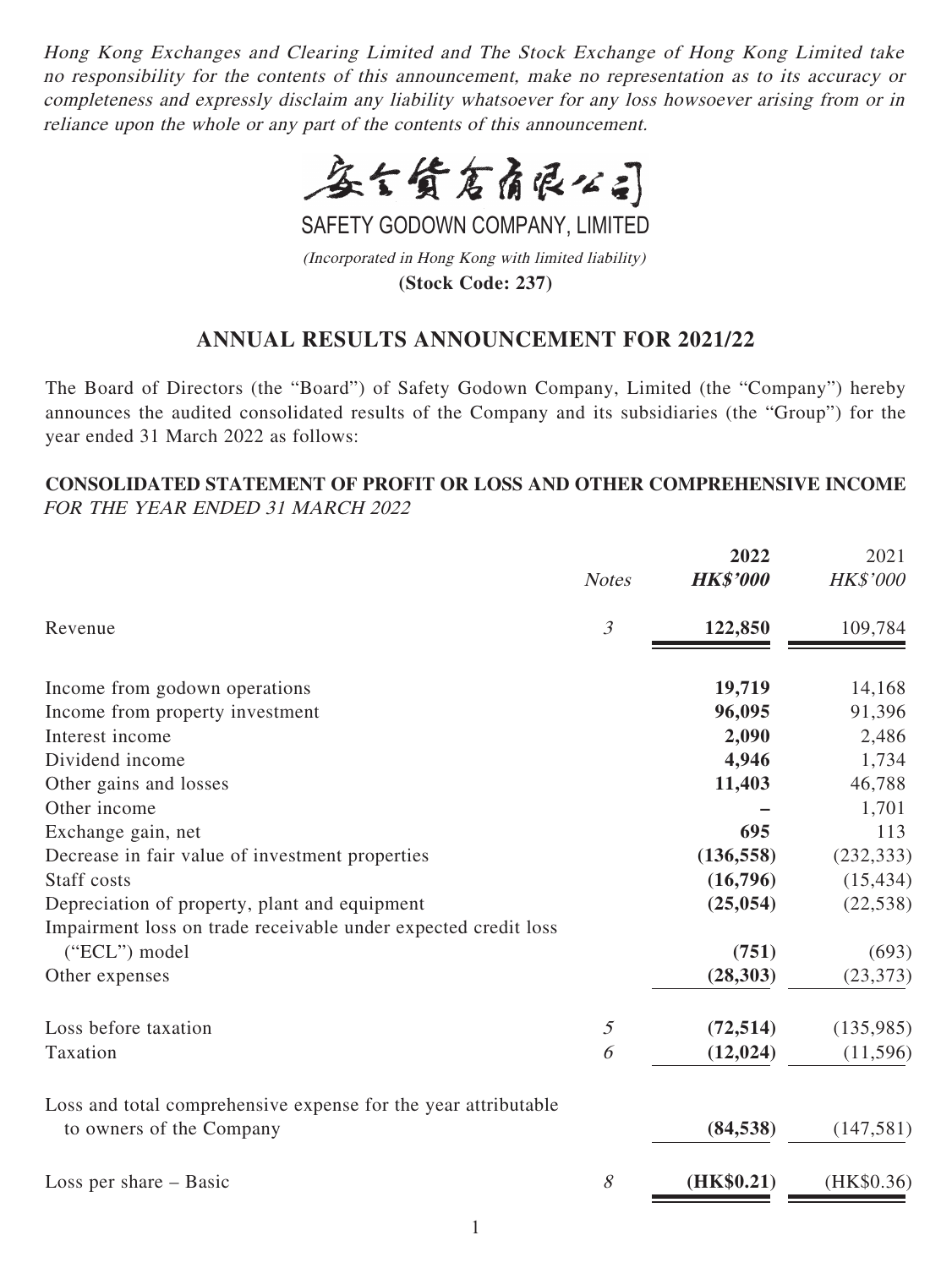Hong Kong Exchanges and Clearing Limited and The Stock Exchange of Hong Kong Limited take no responsibility for the contents of this announcement, make no representation as to its accuracy or completeness and expressly disclaim any liability whatsoever for any loss howsoever arising from or in reliance upon the whole or any part of the contents of this announcement.



SAFETY GODOWN COMPANY, LIMITED

(Incorporated in Hong Kong with limited liability) **(Stock Code: 237)**

# **ANNUAL RESULTS ANNOUNCEMENT FOR 2021/22**

The Board of Directors (the "Board") of Safety Godown Company, Limited (the "Company") hereby announces the audited consolidated results of the Company and its subsidiaries (the "Group") for the year ended 31 March 2022 as follows:

## **CONSOLIDATED STATEMENT OF PROFIT OR LOSS AND OTHER COMPREHENSIVE INCOME** FOR THE YEAR ENDED 31 MARCH 2022

|                                                                | 2022            | 2021                                         |
|----------------------------------------------------------------|-----------------|----------------------------------------------|
| <b>Notes</b>                                                   | <b>HK\$'000</b> | HK\$'000                                     |
| $\mathfrak{Z}$                                                 | 122,850         | 109,784                                      |
|                                                                |                 |                                              |
|                                                                |                 | 14,168                                       |
|                                                                |                 | 91,396                                       |
|                                                                |                 | 2,486                                        |
|                                                                |                 | 1,734                                        |
|                                                                |                 | 46,788                                       |
|                                                                |                 | 1,701                                        |
|                                                                | 695             | 113                                          |
|                                                                | (136, 558)      | (232, 333)                                   |
|                                                                | (16,796)        | (15, 434)                                    |
|                                                                | (25, 054)       | (22, 538)                                    |
| Impairment loss on trade receivable under expected credit loss |                 |                                              |
|                                                                | (751)           | (693)                                        |
|                                                                | (28, 303)       | (23, 373)                                    |
| $\mathfrak{I}$                                                 | (72, 514)       | (135,985)                                    |
| 6                                                              | (12, 024)       | (11,596)                                     |
| Loss and total comprehensive expense for the year attributable |                 |                                              |
|                                                                | (84, 538)       | (147, 581)                                   |
| 8                                                              | (HK\$0.21)      | (HK\$0.36)                                   |
|                                                                |                 | 19,719<br>96,095<br>2,090<br>4,946<br>11,403 |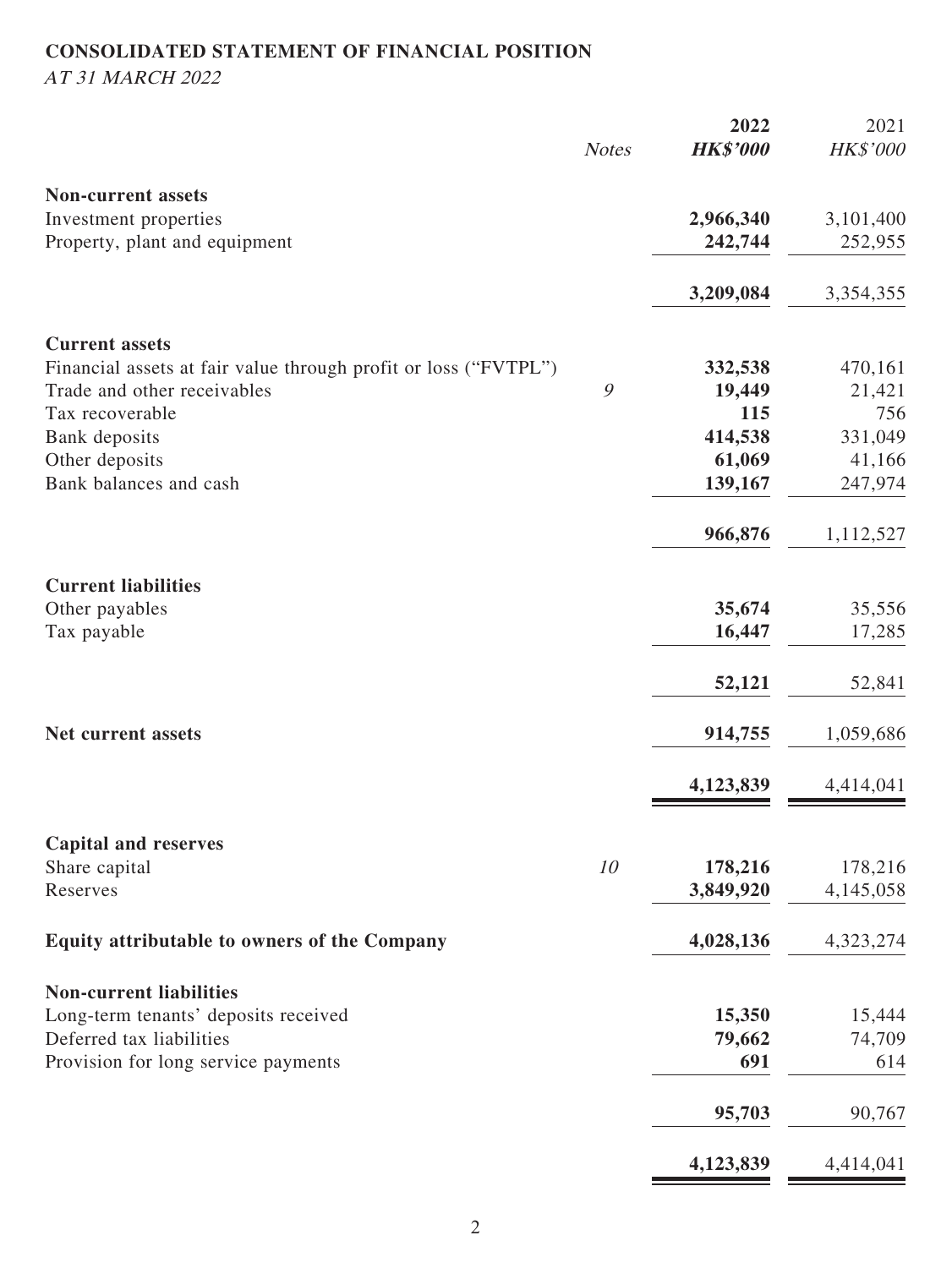# **CONSOLIDATED STATEMENT OF FINANCIAL POSITION** AT 31 MARCH 2022

|                                                                 |              | 2022            | 2021      |
|-----------------------------------------------------------------|--------------|-----------------|-----------|
|                                                                 | <b>Notes</b> | <b>HK\$'000</b> | HK\$'000  |
| <b>Non-current assets</b>                                       |              |                 |           |
| Investment properties                                           |              | 2,966,340       | 3,101,400 |
| Property, plant and equipment                                   |              | 242,744         | 252,955   |
|                                                                 |              |                 |           |
|                                                                 |              | 3,209,084       | 3,354,355 |
| <b>Current assets</b>                                           |              |                 |           |
| Financial assets at fair value through profit or loss ("FVTPL") |              | 332,538         | 470,161   |
| Trade and other receivables                                     | 9            | 19,449          | 21,421    |
| Tax recoverable                                                 |              | 115             | 756       |
| Bank deposits                                                   |              | 414,538         | 331,049   |
| Other deposits                                                  |              | 61,069          | 41,166    |
| Bank balances and cash                                          |              | 139,167         | 247,974   |
|                                                                 |              | 966,876         | 1,112,527 |
| <b>Current liabilities</b>                                      |              |                 |           |
| Other payables                                                  |              | 35,674          | 35,556    |
| Tax payable                                                     |              | 16,447          | 17,285    |
|                                                                 |              | 52,121          | 52,841    |
| Net current assets                                              |              | 914,755         | 1,059,686 |
|                                                                 |              |                 |           |
|                                                                 |              | 4,123,839       | 4,414,041 |
| <b>Capital and reserves</b>                                     |              |                 |           |
| Share capital                                                   | 10           | 178,216         | 178,216   |
| Reserves                                                        |              | 3,849,920       | 4,145,058 |
| Equity attributable to owners of the Company                    |              | 4,028,136       | 4,323,274 |
| <b>Non-current liabilities</b>                                  |              |                 |           |
| Long-term tenants' deposits received                            |              | 15,350          | 15,444    |
| Deferred tax liabilities                                        |              | 79,662          | 74,709    |
| Provision for long service payments                             |              | 691             | 614       |
|                                                                 |              |                 |           |
|                                                                 |              | 95,703          | 90,767    |
|                                                                 |              | 4,123,839       | 4,414,041 |
|                                                                 |              |                 |           |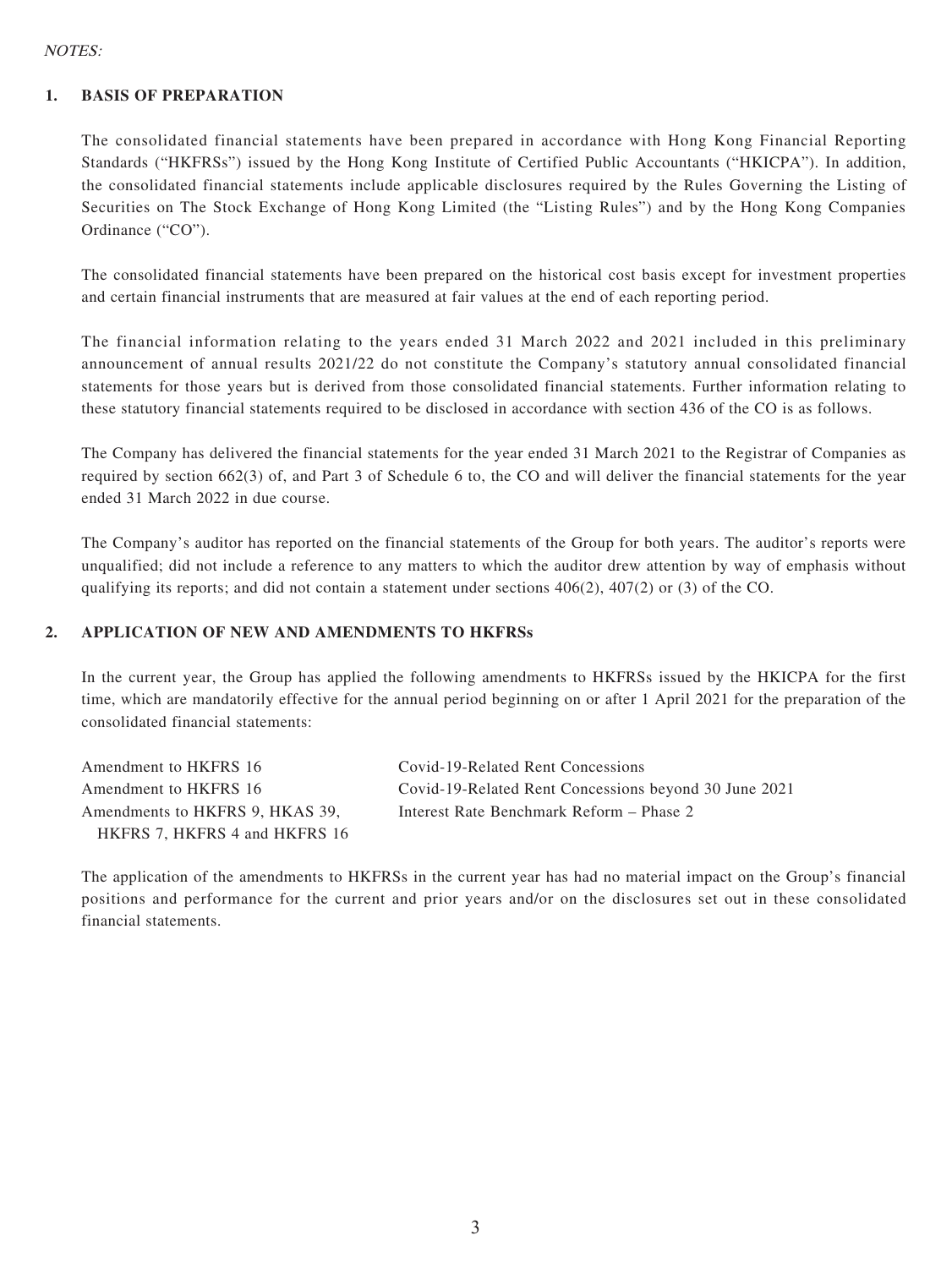#### NOTES:

#### **1. BASIS OF PREPARATION**

The consolidated financial statements have been prepared in accordance with Hong Kong Financial Reporting Standards ("HKFRSs") issued by the Hong Kong Institute of Certified Public Accountants ("HKICPA"). In addition, the consolidated financial statements include applicable disclosures required by the Rules Governing the Listing of Securities on The Stock Exchange of Hong Kong Limited (the "Listing Rules") and by the Hong Kong Companies Ordinance ("CO").

The consolidated financial statements have been prepared on the historical cost basis except for investment properties and certain financial instruments that are measured at fair values at the end of each reporting period.

The financial information relating to the years ended 31 March 2022 and 2021 included in this preliminary announcement of annual results 2021/22 do not constitute the Company's statutory annual consolidated financial statements for those years but is derived from those consolidated financial statements. Further information relating to these statutory financial statements required to be disclosed in accordance with section 436 of the CO is as follows.

The Company has delivered the financial statements for the year ended 31 March 2021 to the Registrar of Companies as required by section 662(3) of, and Part 3 of Schedule 6 to, the CO and will deliver the financial statements for the year ended 31 March 2022 in due course.

The Company's auditor has reported on the financial statements of the Group for both years. The auditor's reports were unqualified; did not include a reference to any matters to which the auditor drew attention by way of emphasis without qualifying its reports; and did not contain a statement under sections  $406(2)$ ,  $407(2)$  or (3) of the CO.

#### **2. APPLICATION OF NEW AND AMENDMENTS TO HKFRSs**

In the current year, the Group has applied the following amendments to HKFRSs issued by the HKICPA for the first time, which are mandatorily effective for the annual period beginning on or after 1 April 2021 for the preparation of the consolidated financial statements:

| Amendment to HKFRS 16           | Covid-19-Related Rent Concessions                     |
|---------------------------------|-------------------------------------------------------|
| Amendment to HKFRS 16           | Covid-19-Related Rent Concessions beyond 30 June 2021 |
| Amendments to HKFRS 9. HKAS 39. | Interest Rate Benchmark Reform – Phase 2              |
| HKFRS 7, HKFRS 4 and HKFRS 16   |                                                       |

The application of the amendments to HKFRSs in the current year has had no material impact on the Group's financial positions and performance for the current and prior years and/or on the disclosures set out in these consolidated financial statements.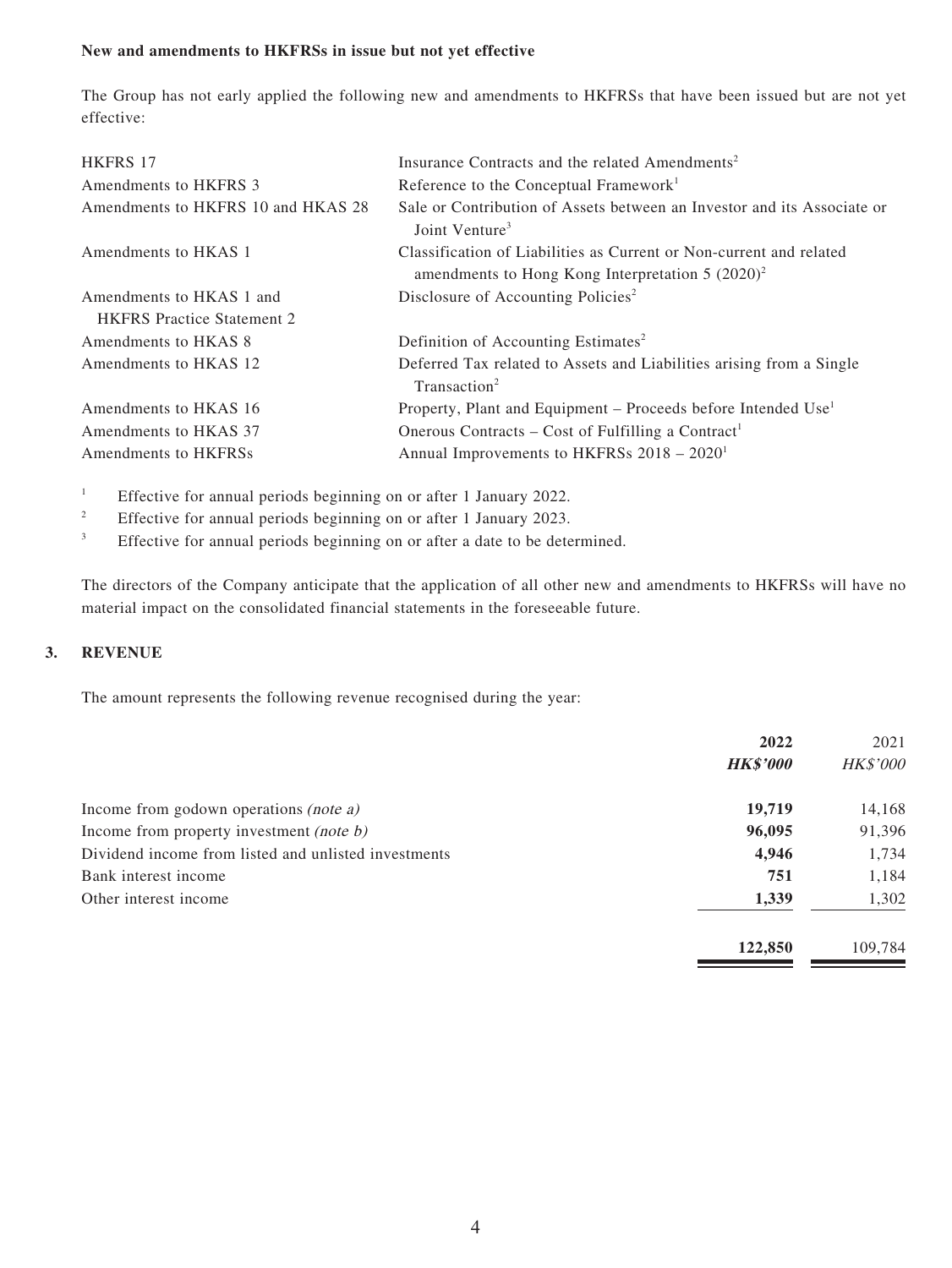#### **New and amendments to HKFRSs in issue but not yet effective**

The Group has not early applied the following new and amendments to HKFRSs that have been issued but are not yet effective:

| <b>HKFRS 17</b>                    | Insurance Contracts and the related Amendments <sup>2</sup>                                                                |
|------------------------------------|----------------------------------------------------------------------------------------------------------------------------|
| Amendments to HKFRS 3              | Reference to the Conceptual Framework <sup>1</sup>                                                                         |
| Amendments to HKFRS 10 and HKAS 28 | Sale or Contribution of Assets between an Investor and its Associate or<br>Joint Venture <sup>3</sup>                      |
| Amendments to HKAS 1               | Classification of Liabilities as Current or Non-current and related<br>amendments to Hong Kong Interpretation $5 (2020)^2$ |
| Amendments to HKAS 1 and           | Disclosure of Accounting Policies <sup>2</sup>                                                                             |
| <b>HKFRS</b> Practice Statement 2  |                                                                                                                            |
| Amendments to HKAS 8               | Definition of Accounting Estimates <sup>2</sup>                                                                            |
| Amendments to HKAS 12              | Deferred Tax related to Assets and Liabilities arising from a Single<br>Transaction <sup>2</sup>                           |
| Amendments to HKAS 16              | Property, Plant and Equipment – Proceeds before Intended Use <sup>1</sup>                                                  |
| Amendments to HKAS 37              | Onerous Contracts – Cost of Fulfilling a Contract <sup>1</sup>                                                             |
| Amendments to HKFRSs               | Annual Improvements to HKFRSs $2018 - 20201$                                                                               |

1 Effective for annual periods beginning on or after 1 January 2022.

- 2 Effective for annual periods beginning on or after 1 January 2023.
- 3 Effective for annual periods beginning on or after a date to be determined.

The directors of the Company anticipate that the application of all other new and amendments to HKFRSs will have no material impact on the consolidated financial statements in the foreseeable future.

#### **3. REVENUE**

The amount represents the following revenue recognised during the year:

|                                                      | 2022            | 2021            |
|------------------------------------------------------|-----------------|-----------------|
|                                                      | <b>HK\$'000</b> | <b>HK\$'000</b> |
| Income from godown operations <i>(note a)</i>        | 19,719          | 14,168          |
| Income from property investment (note b)             | 96,095          | 91,396          |
| Dividend income from listed and unlisted investments | 4,946           | 1,734           |
| Bank interest income                                 | 751             | 1,184           |
| Other interest income                                | 1,339           | 1,302           |
|                                                      | 122,850         | 109,784         |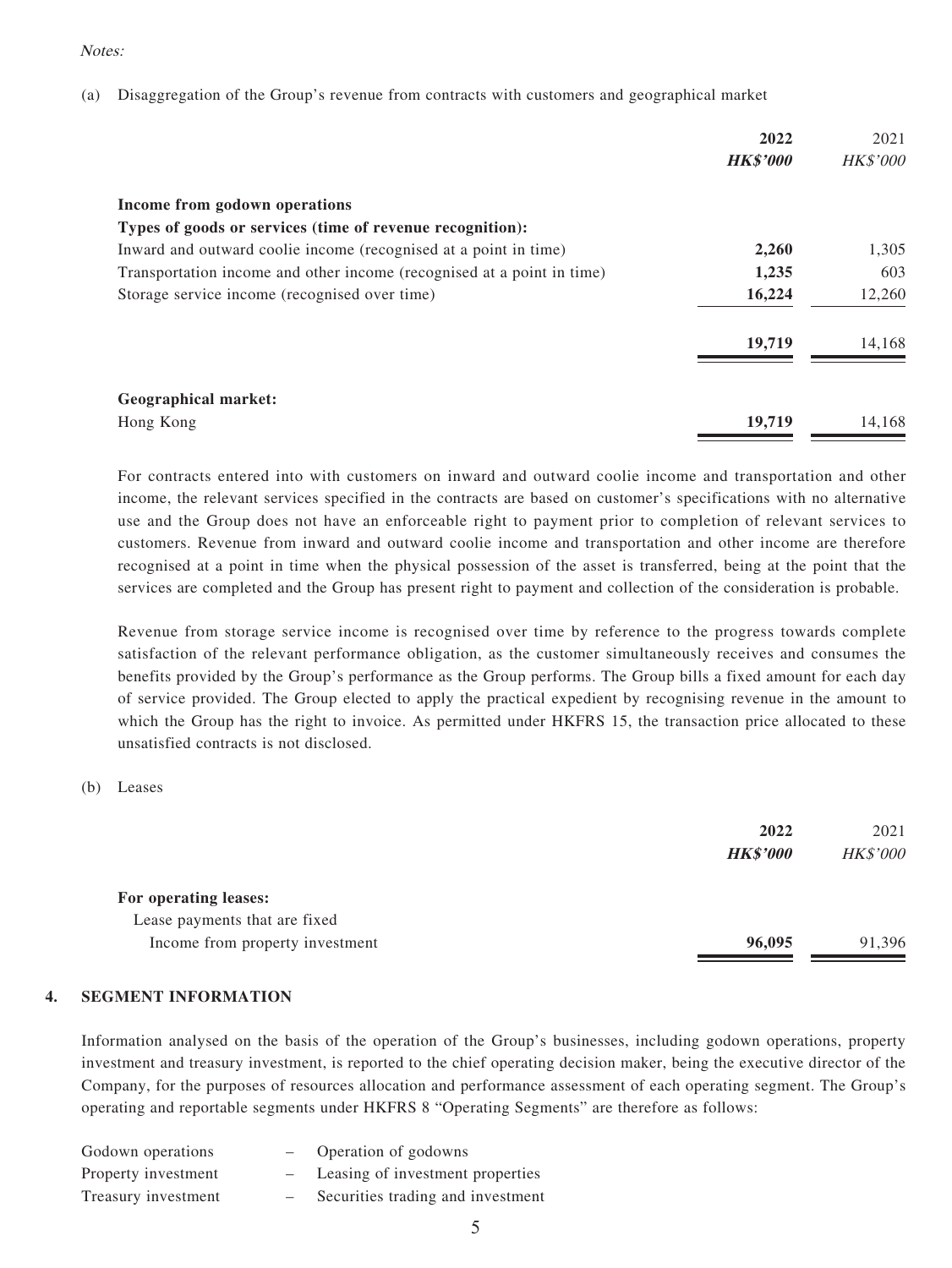#### Notes:

(a) Disaggregation of the Group's revenue from contracts with customers and geographical market

|                                                                        | 2022<br><b>HK\$'000</b> | 2021<br><b>HK\$'000</b> |
|------------------------------------------------------------------------|-------------------------|-------------------------|
| Income from godown operations                                          |                         |                         |
| Types of goods or services (time of revenue recognition):              |                         |                         |
| Inward and outward coolie income (recognised at a point in time)       | 2,260                   | 1,305                   |
| Transportation income and other income (recognised at a point in time) | 1,235                   | 603                     |
| Storage service income (recognised over time)                          | 16,224                  | 12,260                  |
|                                                                        | 19,719                  | 14,168                  |
| <b>Geographical market:</b>                                            |                         |                         |
| Hong Kong                                                              | 19,719                  | 14.168                  |

For contracts entered into with customers on inward and outward coolie income and transportation and other income, the relevant services specified in the contracts are based on customer's specifications with no alternative use and the Group does not have an enforceable right to payment prior to completion of relevant services to customers. Revenue from inward and outward coolie income and transportation and other income are therefore recognised at a point in time when the physical possession of the asset is transferred, being at the point that the services are completed and the Group has present right to payment and collection of the consideration is probable.

Revenue from storage service income is recognised over time by reference to the progress towards complete satisfaction of the relevant performance obligation, as the customer simultaneously receives and consumes the benefits provided by the Group's performance as the Group performs. The Group bills a fixed amount for each day of service provided. The Group elected to apply the practical expedient by recognising revenue in the amount to which the Group has the right to invoice. As permitted under HKFRS 15, the transaction price allocated to these unsatisfied contracts is not disclosed.

(b) Leases

|                                 | 2022            | 2021     |
|---------------------------------|-----------------|----------|
|                                 | <b>HK\$'000</b> | HK\$'000 |
| For operating leases:           |                 |          |
| Lease payments that are fixed   |                 |          |
| Income from property investment | 96,095          | 91,396   |

#### **4. SEGMENT INFORMATION**

Information analysed on the basis of the operation of the Group's businesses, including godown operations, property investment and treasury investment, is reported to the chief operating decision maker, being the executive director of the Company, for the purposes of resources allocation and performance assessment of each operating segment. The Group's operating and reportable segments under HKFRS 8 "Operating Segments" are therefore as follows:

| Godown operations   | Operation of godowns              |
|---------------------|-----------------------------------|
| Property investment | Leasing of investment properties  |
| Treasury investment | Securities trading and investment |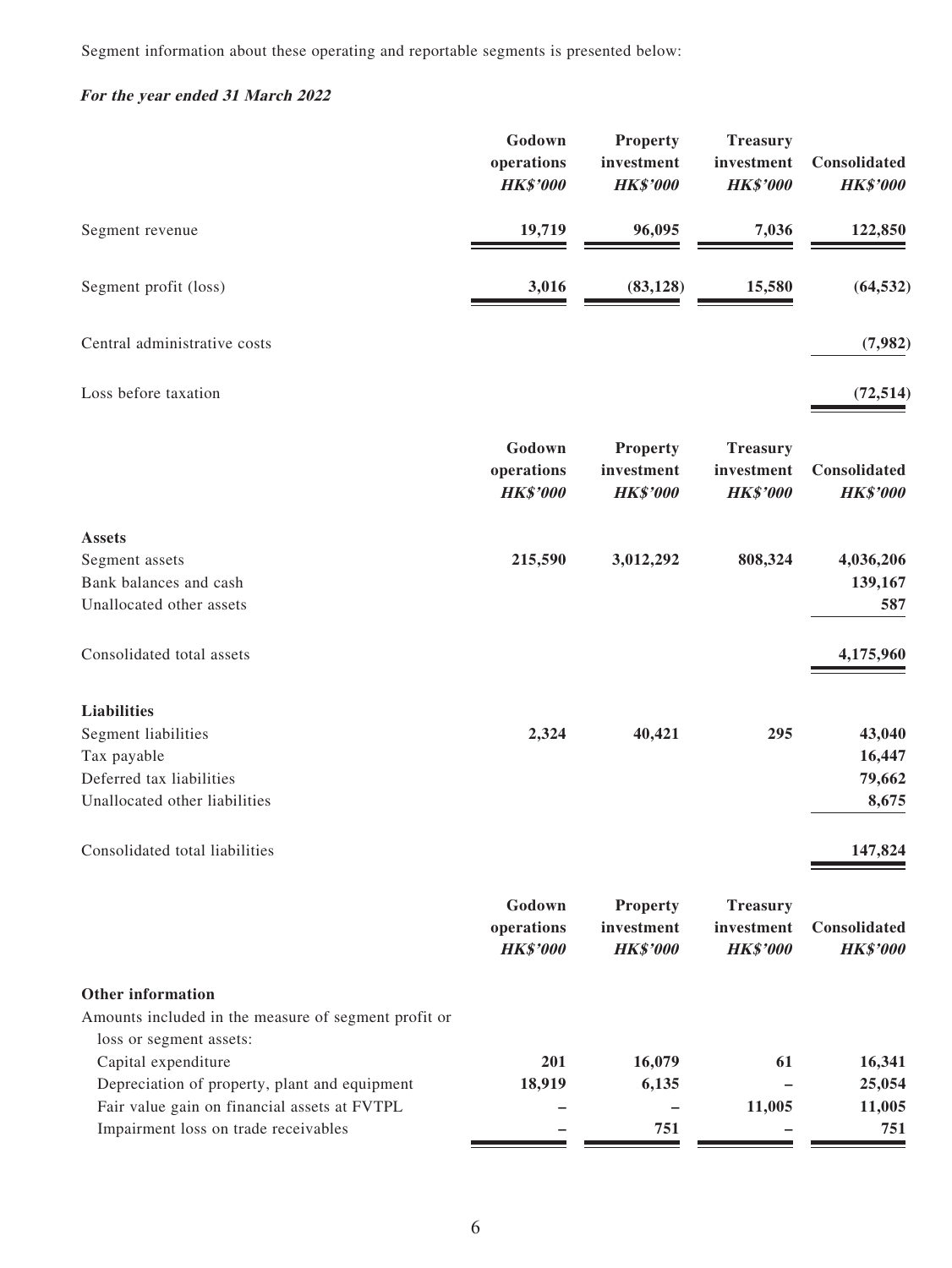Segment information about these operating and reportable segments is presented below:

# **For the year ended 31 March 2022**

|                                                                                                                                                              | Godown<br>operations<br><b>HK\$'000</b> | <b>Property</b><br>investment<br><b>HK\$'000</b> | <b>Treasury</b><br>investment<br><b>HK\$'000</b> | Consolidated<br><b>HK\$'000</b>     |
|--------------------------------------------------------------------------------------------------------------------------------------------------------------|-----------------------------------------|--------------------------------------------------|--------------------------------------------------|-------------------------------------|
| Segment revenue                                                                                                                                              | 19,719                                  | 96,095                                           | 7,036                                            | 122,850                             |
| Segment profit (loss)                                                                                                                                        | 3,016                                   | (83, 128)                                        | 15,580                                           | (64, 532)                           |
| Central administrative costs                                                                                                                                 |                                         |                                                  |                                                  | (7,982)                             |
| Loss before taxation                                                                                                                                         |                                         |                                                  |                                                  | (72, 514)                           |
|                                                                                                                                                              | Godown<br>operations<br><b>HK\$'000</b> | <b>Property</b><br>investment<br><b>HK\$'000</b> | <b>Treasury</b><br>investment<br><b>HK\$'000</b> | Consolidated<br><b>HK\$'000</b>     |
| <b>Assets</b><br>Segment assets<br>Bank balances and cash<br>Unallocated other assets                                                                        | 215,590                                 | 3,012,292                                        | 808,324                                          | 4,036,206<br>139,167<br>587         |
| Consolidated total assets                                                                                                                                    |                                         |                                                  |                                                  | 4,175,960                           |
| <b>Liabilities</b><br>Segment liabilities<br>Tax payable<br>Deferred tax liabilities<br>Unallocated other liabilities                                        | 2,324                                   | 40,421                                           | 295                                              | 43,040<br>16,447<br>79,662<br>8,675 |
| Consolidated total liabilities                                                                                                                               |                                         |                                                  |                                                  | 147,824                             |
|                                                                                                                                                              | Godown<br>operations<br><b>HK\$'000</b> | <b>Property</b><br>investment<br><b>HK\$'000</b> | <b>Treasury</b><br>investment<br><b>HK\$'000</b> | Consolidated<br><b>HK\$'000</b>     |
| Other information<br>Amounts included in the measure of segment profit or<br>loss or segment assets:                                                         |                                         |                                                  |                                                  |                                     |
| Capital expenditure<br>Depreciation of property, plant and equipment<br>Fair value gain on financial assets at FVTPL<br>Impairment loss on trade receivables | 201<br>18,919                           | 16,079<br>6,135<br>751                           | 61<br>11,005                                     | 16,341<br>25,054<br>11,005<br>751   |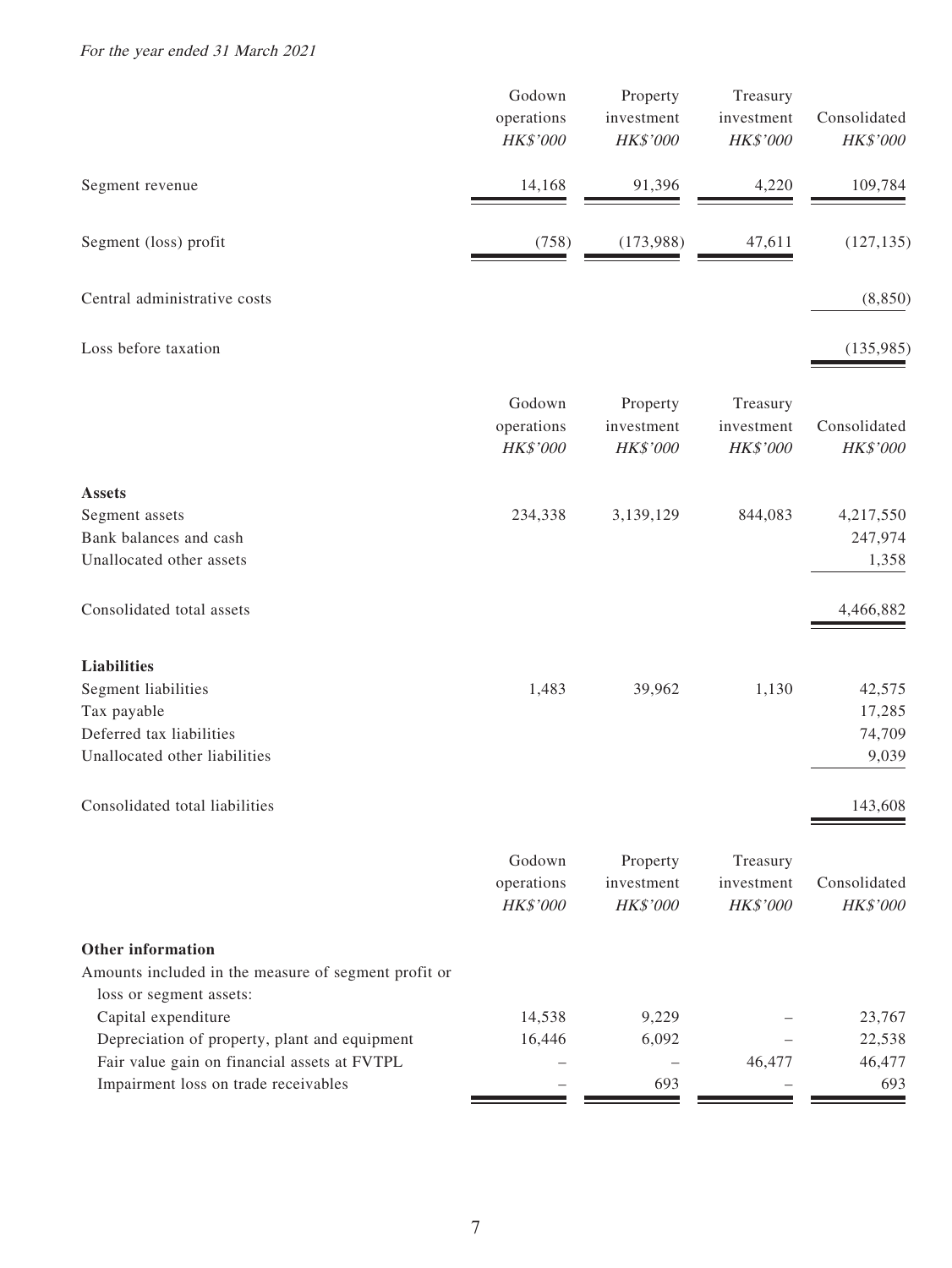For the year ended 31 March 2021

|                                                                                                                                                              | Godown<br>operations<br>HK\$'000 | Property<br>investment<br>HK\$'000 | Treasury<br>investment<br>HK\$'000 | Consolidated<br>HK\$'000            |
|--------------------------------------------------------------------------------------------------------------------------------------------------------------|----------------------------------|------------------------------------|------------------------------------|-------------------------------------|
| Segment revenue                                                                                                                                              | 14,168                           | 91,396                             | 4,220                              | 109,784                             |
| Segment (loss) profit                                                                                                                                        | (758)                            | (173,988)                          | 47,611                             | (127, 135)                          |
| Central administrative costs                                                                                                                                 |                                  |                                    |                                    | (8, 850)                            |
| Loss before taxation                                                                                                                                         |                                  |                                    |                                    | (135,985)                           |
|                                                                                                                                                              | Godown<br>operations<br>HK\$'000 | Property<br>investment<br>HK\$'000 | Treasury<br>investment<br>HK\$'000 | Consolidated<br>HK\$'000            |
| <b>Assets</b><br>Segment assets<br>Bank balances and cash<br>Unallocated other assets                                                                        | 234,338                          | 3,139,129                          | 844,083                            | 4,217,550<br>247,974<br>1,358       |
| Consolidated total assets                                                                                                                                    |                                  |                                    |                                    | 4,466,882                           |
| <b>Liabilities</b><br>Segment liabilities<br>Tax payable<br>Deferred tax liabilities<br>Unallocated other liabilities                                        | 1,483                            | 39,962                             | 1,130                              | 42,575<br>17,285<br>74,709<br>9,039 |
| Consolidated total liabilities                                                                                                                               |                                  |                                    |                                    | 143,608                             |
|                                                                                                                                                              | Godown<br>operations<br>HK\$'000 | Property<br>investment<br>HK\$'000 | Treasury<br>investment<br>HK\$'000 | Consolidated<br>HK\$'000            |
| <b>Other information</b><br>Amounts included in the measure of segment profit or<br>loss or segment assets:                                                  |                                  |                                    |                                    |                                     |
| Capital expenditure<br>Depreciation of property, plant and equipment<br>Fair value gain on financial assets at FVTPL<br>Impairment loss on trade receivables | 14,538<br>16,446                 | 9,229<br>6,092<br>693              | 46,477                             | 23,767<br>22,538<br>46,477<br>693   |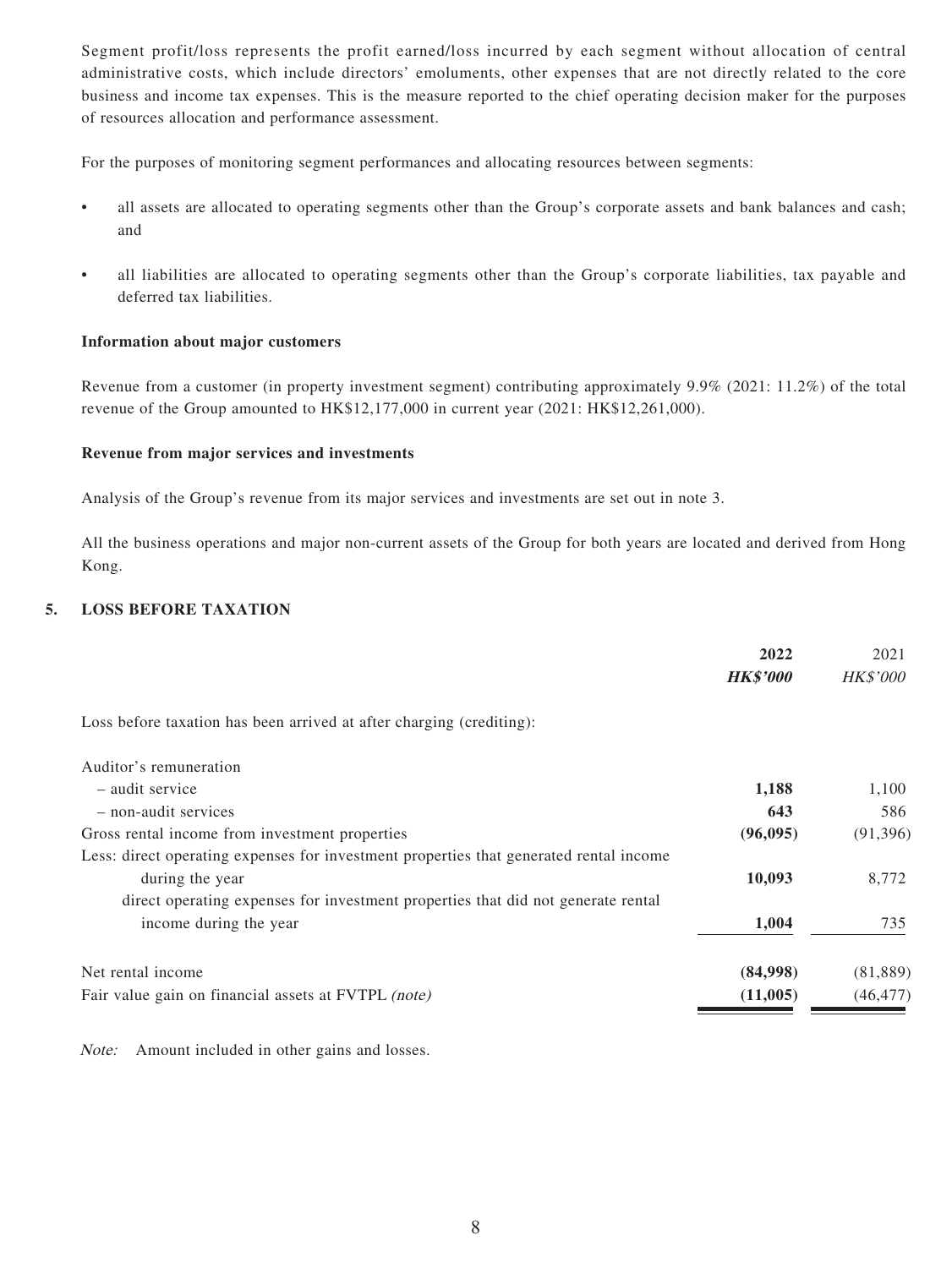Segment profit/loss represents the profit earned/loss incurred by each segment without allocation of central administrative costs, which include directors' emoluments, other expenses that are not directly related to the core business and income tax expenses. This is the measure reported to the chief operating decision maker for the purposes of resources allocation and performance assessment.

For the purposes of monitoring segment performances and allocating resources between segments:

- all assets are allocated to operating segments other than the Group's corporate assets and bank balances and cash; and
- all liabilities are allocated to operating segments other than the Group's corporate liabilities, tax payable and deferred tax liabilities.

#### **Information about major customers**

Revenue from a customer (in property investment segment) contributing approximately 9.9% (2021: 11.2%) of the total revenue of the Group amounted to HK\$12,177,000 in current year (2021: HK\$12,261,000).

#### **Revenue from major services and investments**

Analysis of the Group's revenue from its major services and investments are set out in note 3.

All the business operations and major non-current assets of the Group for both years are located and derived from Hong Kong.

#### **5. LOSS BEFORE TAXATION**

|                                                                                        | 2022            | 2021            |
|----------------------------------------------------------------------------------------|-----------------|-----------------|
|                                                                                        | <b>HK\$'000</b> | <b>HK\$'000</b> |
| Loss before taxation has been arrived at after charging (crediting):                   |                 |                 |
| Auditor's remuneration                                                                 |                 |                 |
| - audit service                                                                        | 1,188           | 1,100           |
| - non-audit services                                                                   | 643             | 586             |
| Gross rental income from investment properties                                         | (96,095)        | (91, 396)       |
| Less: direct operating expenses for investment properties that generated rental income |                 |                 |
| during the year                                                                        | 10,093          | 8,772           |
| direct operating expenses for investment properties that did not generate rental       |                 |                 |
| income during the year                                                                 | 1,004           | 735             |
| Net rental income                                                                      | (84,998)        | (81, 889)       |
| Fair value gain on financial assets at FVTPL (note)                                    | (11,005)        | (46, 477)       |

Note: Amount included in other gains and losses.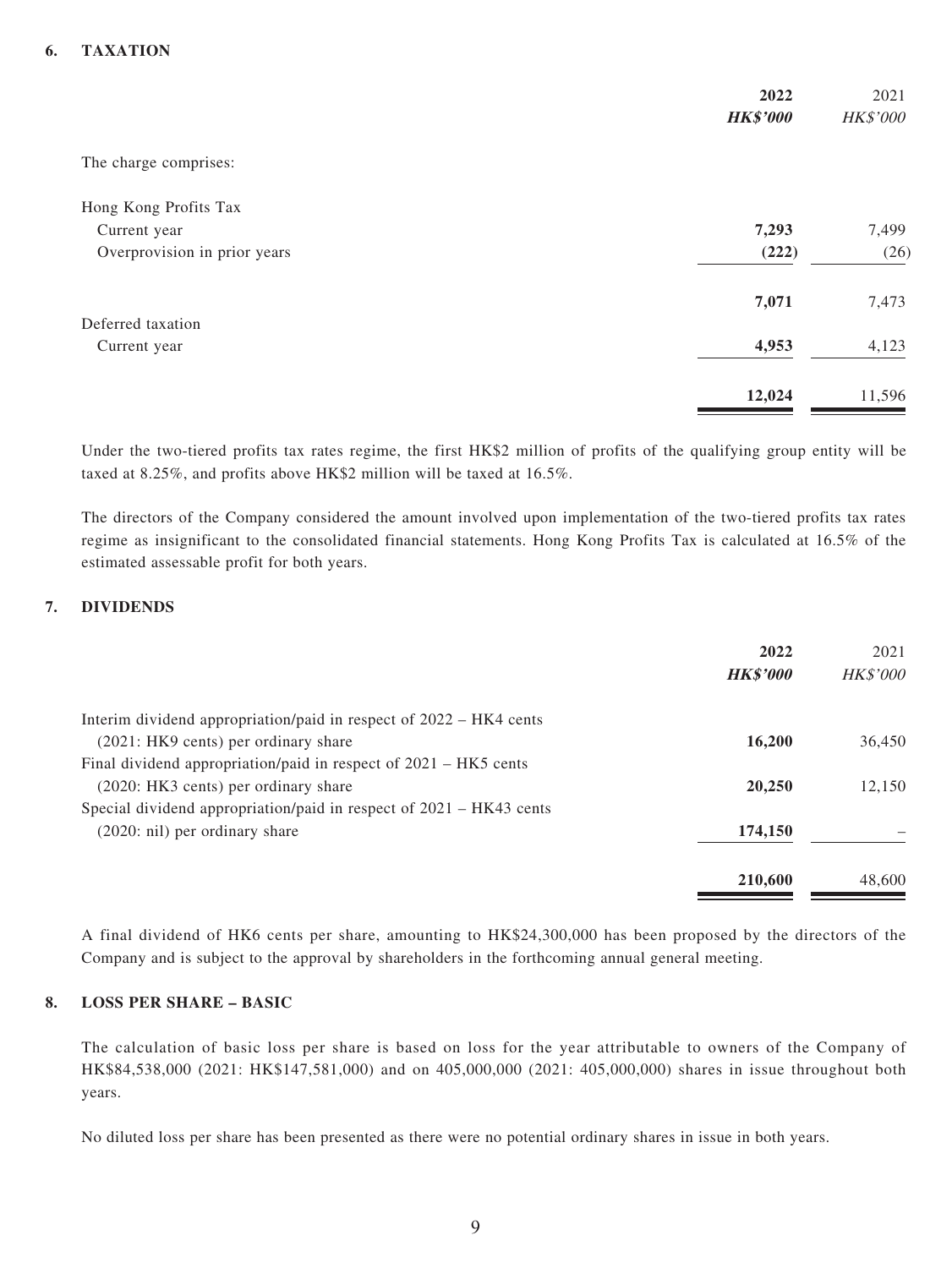#### **6. TAXATION**

|                              | 2022<br><b>HK\$'000</b> | 2021<br>HK\$'000 |
|------------------------------|-------------------------|------------------|
| The charge comprises:        |                         |                  |
| Hong Kong Profits Tax        |                         |                  |
| Current year                 | 7,293                   | 7,499            |
| Overprovision in prior years | (222)                   | (26)             |
|                              | 7,071                   | 7,473            |
| Deferred taxation            |                         |                  |
| Current year                 | 4,953                   | 4,123            |
|                              | 12,024                  | 11,596           |

Under the two-tiered profits tax rates regime, the first HK\$2 million of profits of the qualifying group entity will be taxed at 8.25%, and profits above HK\$2 million will be taxed at 16.5%.

The directors of the Company considered the amount involved upon implementation of the two-tiered profits tax rates regime as insignificant to the consolidated financial statements. Hong Kong Profits Tax is calculated at 16.5% of the estimated assessable profit for both years.

#### **7. DIVIDENDS**

|                                                                       | 2022<br><b>HK\$'000</b> | 2021<br><b>HK\$'000</b> |
|-----------------------------------------------------------------------|-------------------------|-------------------------|
| Interim dividend appropriation/paid in respect of 2022 – HK4 cents    |                         |                         |
| (2021: HK9 cents) per ordinary share                                  | 16,200                  | 36,450                  |
| Final dividend appropriation/paid in respect of 2021 – HK5 cents      |                         |                         |
| (2020: HK3 cents) per ordinary share                                  | 20,250                  | 12.150                  |
| Special dividend appropriation/paid in respect of $2021 - HK43$ cents |                         |                         |
| $(2020: \n  nil)$ per ordinary share                                  | 174,150                 |                         |
|                                                                       | 210,600                 | 48,600                  |

A final dividend of HK6 cents per share, amounting to HK\$24,300,000 has been proposed by the directors of the Company and is subject to the approval by shareholders in the forthcoming annual general meeting.

#### **8. LOSS PER SHARE – BASIC**

The calculation of basic loss per share is based on loss for the year attributable to owners of the Company of HK\$84,538,000 (2021: HK\$147,581,000) and on 405,000,000 (2021: 405,000,000) shares in issue throughout both years.

No diluted loss per share has been presented as there were no potential ordinary shares in issue in both years.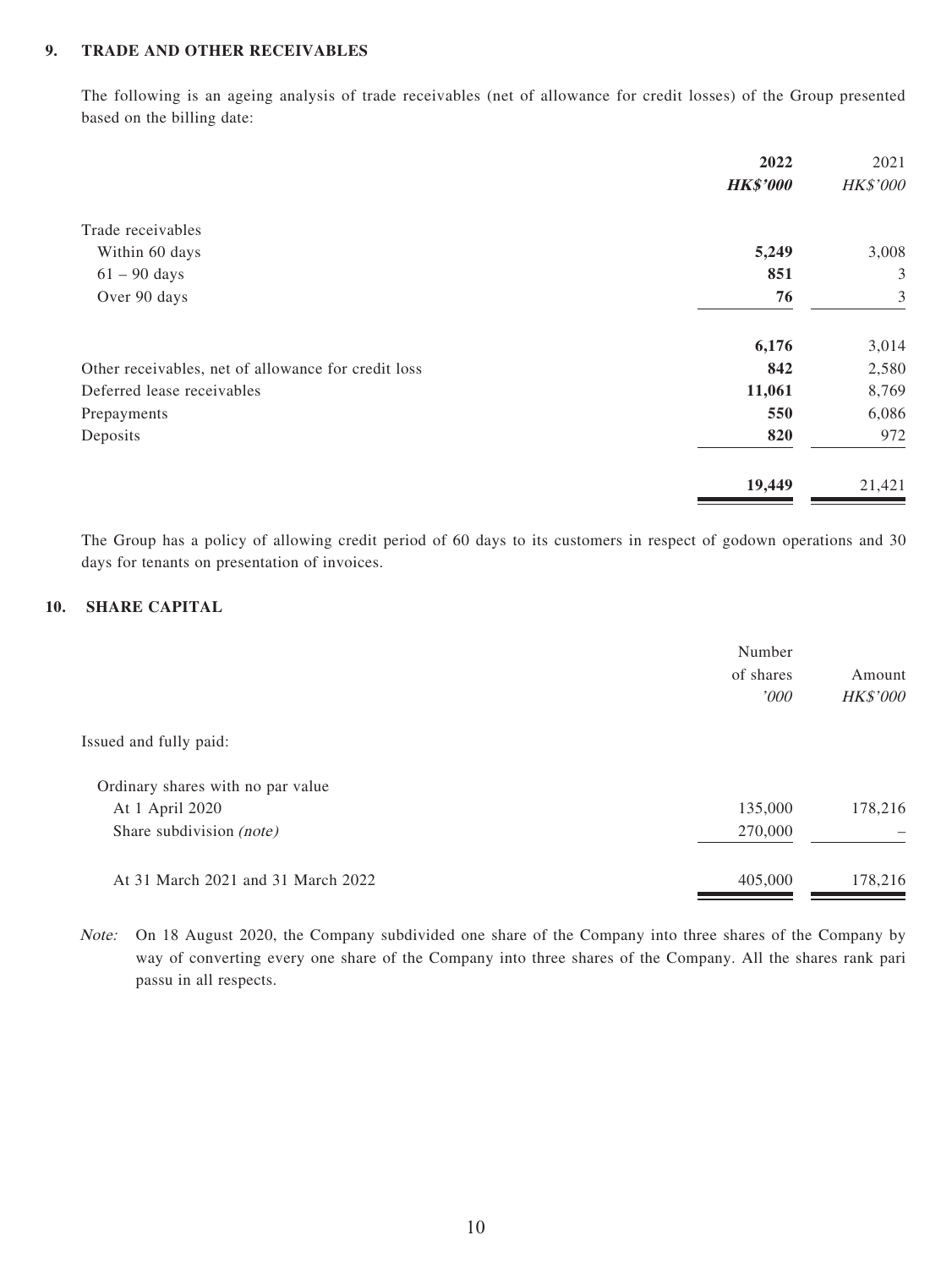#### **9. TRADE AND OTHER RECEIVABLES**

The following is an ageing analysis of trade receivables (net of allowance for credit losses) of the Group presented based on the billing date:

|                                                     | 2022            | 2021     |
|-----------------------------------------------------|-----------------|----------|
|                                                     | <b>HK\$'000</b> | HK\$'000 |
| Trade receivables                                   |                 |          |
| Within 60 days                                      | 5,249           | 3,008    |
| $61 - 90$ days                                      | 851             | 3        |
| Over 90 days                                        | 76              | 3        |
|                                                     | 6,176           | 3,014    |
| Other receivables, net of allowance for credit loss | 842             | 2,580    |
| Deferred lease receivables                          | 11,061          | 8,769    |
| Prepayments                                         | 550             | 6,086    |
| Deposits                                            | 820             | 972      |
|                                                     | 19,449          | 21,421   |

The Group has a policy of allowing credit period of 60 days to its customers in respect of godown operations and 30 days for tenants on presentation of invoices.

#### **10. SHARE CAPITAL**

|                                    | Number<br>of shares<br>'000 | Amount<br><b>HK\$'000</b> |
|------------------------------------|-----------------------------|---------------------------|
| Issued and fully paid:             |                             |                           |
| Ordinary shares with no par value  |                             |                           |
| At 1 April 2020                    | 135,000                     | 178,216                   |
| Share subdivision (note)           | 270,000                     |                           |
| At 31 March 2021 and 31 March 2022 | 405,000                     | 178,216                   |

Note: On 18 August 2020, the Company subdivided one share of the Company into three shares of the Company by way of converting every one share of the Company into three shares of the Company. All the shares rank pari passu in all respects.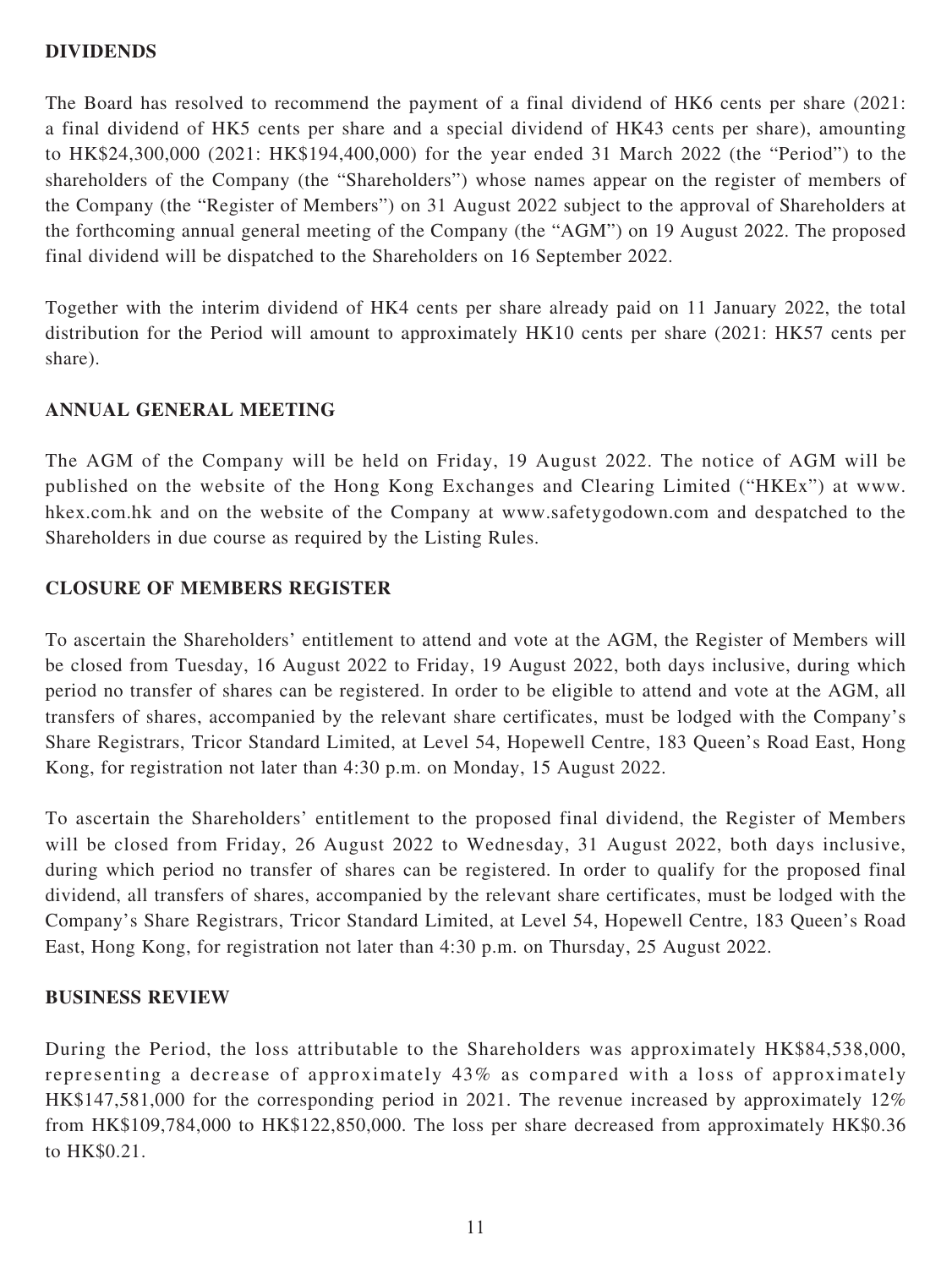### **DIVIDENDS**

The Board has resolved to recommend the payment of a final dividend of HK6 cents per share (2021: a final dividend of HK5 cents per share and a special dividend of HK43 cents per share), amounting to HK\$24,300,000 (2021: HK\$194,400,000) for the year ended 31 March 2022 (the "Period") to the shareholders of the Company (the "Shareholders") whose names appear on the register of members of the Company (the "Register of Members") on 31 August 2022 subject to the approval of Shareholders at the forthcoming annual general meeting of the Company (the "AGM") on 19 August 2022. The proposed final dividend will be dispatched to the Shareholders on 16 September 2022.

Together with the interim dividend of HK4 cents per share already paid on 11 January 2022, the total distribution for the Period will amount to approximately HK10 cents per share (2021: HK57 cents per share).

### **ANNUAL GENERAL MEETING**

The AGM of the Company will be held on Friday, 19 August 2022. The notice of AGM will be published on the website of the Hong Kong Exchanges and Clearing Limited ("HKEx") at www. hkex.com.hk and on the website of the Company at www.safetygodown.com and despatched to the Shareholders in due course as required by the Listing Rules.

### **CLOSURE OF MEMBERS REGISTER**

To ascertain the Shareholders' entitlement to attend and vote at the AGM, the Register of Members will be closed from Tuesday, 16 August 2022 to Friday, 19 August 2022, both days inclusive, during which period no transfer of shares can be registered. In order to be eligible to attend and vote at the AGM, all transfers of shares, accompanied by the relevant share certificates, must be lodged with the Company's Share Registrars, Tricor Standard Limited, at Level 54, Hopewell Centre, 183 Queen's Road East, Hong Kong, for registration not later than 4:30 p.m. on Monday, 15 August 2022.

To ascertain the Shareholders' entitlement to the proposed final dividend, the Register of Members will be closed from Friday, 26 August 2022 to Wednesday, 31 August 2022, both days inclusive, during which period no transfer of shares can be registered. In order to qualify for the proposed final dividend, all transfers of shares, accompanied by the relevant share certificates, must be lodged with the Company's Share Registrars, Tricor Standard Limited, at Level 54, Hopewell Centre, 183 Queen's Road East, Hong Kong, for registration not later than 4:30 p.m. on Thursday, 25 August 2022.

### **BUSINESS REVIEW**

During the Period, the loss attributable to the Shareholders was approximately HK\$84,538,000, representing a decrease of approximately 43% as compared with a loss of approximately HK\$147,581,000 for the corresponding period in 2021. The revenue increased by approximately 12% from HK\$109,784,000 to HK\$122,850,000. The loss per share decreased from approximately HK\$0.36 to HK\$0.21.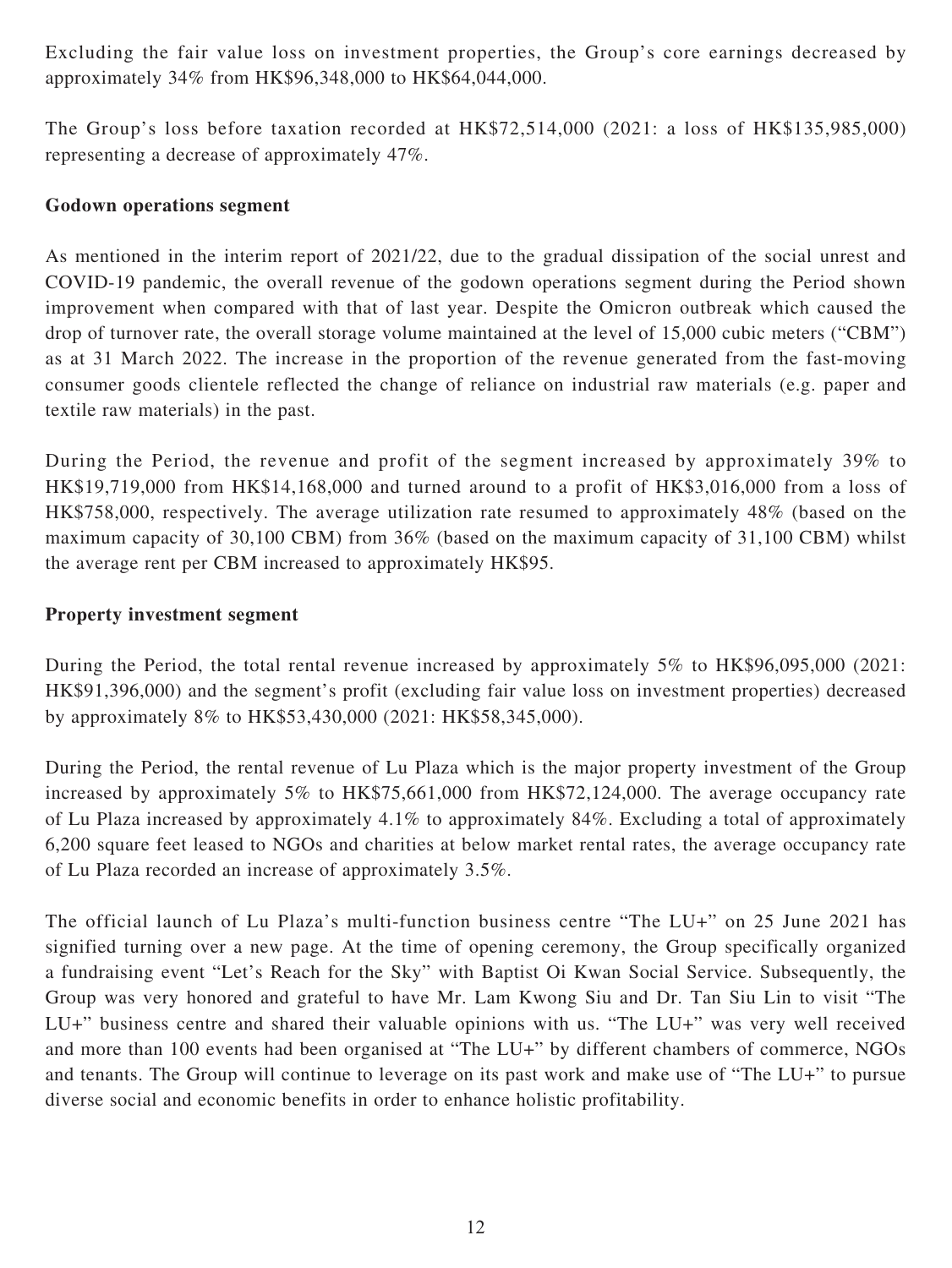Excluding the fair value loss on investment properties, the Group's core earnings decreased by approximately 34% from HK\$96,348,000 to HK\$64,044,000.

The Group's loss before taxation recorded at HK\$72,514,000 (2021: a loss of HK\$135,985,000) representing a decrease of approximately 47%.

### **Godown operations segment**

As mentioned in the interim report of 2021/22, due to the gradual dissipation of the social unrest and COVID-19 pandemic, the overall revenue of the godown operations segment during the Period shown improvement when compared with that of last year. Despite the Omicron outbreak which caused the drop of turnover rate, the overall storage volume maintained at the level of 15,000 cubic meters ("CBM") as at 31 March 2022. The increase in the proportion of the revenue generated from the fast-moving consumer goods clientele reflected the change of reliance on industrial raw materials (e.g. paper and textile raw materials) in the past.

During the Period, the revenue and profit of the segment increased by approximately 39% to HK\$19,719,000 from HK\$14,168,000 and turned around to a profit of HK\$3,016,000 from a loss of HK\$758,000, respectively. The average utilization rate resumed to approximately 48% (based on the maximum capacity of 30,100 CBM) from 36% (based on the maximum capacity of 31,100 CBM) whilst the average rent per CBM increased to approximately HK\$95.

### **Property investment segment**

During the Period, the total rental revenue increased by approximately 5% to HK\$96,095,000 (2021: HK\$91,396,000) and the segment's profit (excluding fair value loss on investment properties) decreased by approximately 8% to HK\$53,430,000 (2021: HK\$58,345,000).

During the Period, the rental revenue of Lu Plaza which is the major property investment of the Group increased by approximately 5% to HK\$75,661,000 from HK\$72,124,000. The average occupancy rate of Lu Plaza increased by approximately 4.1% to approximately 84%. Excluding a total of approximately 6,200 square feet leased to NGOs and charities at below market rental rates, the average occupancy rate of Lu Plaza recorded an increase of approximately 3.5%.

The official launch of Lu Plaza's multi-function business centre "The LU+" on 25 June 2021 has signified turning over a new page. At the time of opening ceremony, the Group specifically organized a fundraising event "Let's Reach for the Sky" with Baptist Oi Kwan Social Service. Subsequently, the Group was very honored and grateful to have Mr. Lam Kwong Siu and Dr. Tan Siu Lin to visit "The LU+" business centre and shared their valuable opinions with us. "The LU+" was very well received and more than 100 events had been organised at "The LU+" by different chambers of commerce, NGOs and tenants. The Group will continue to leverage on its past work and make use of "The LU+" to pursue diverse social and economic benefits in order to enhance holistic profitability.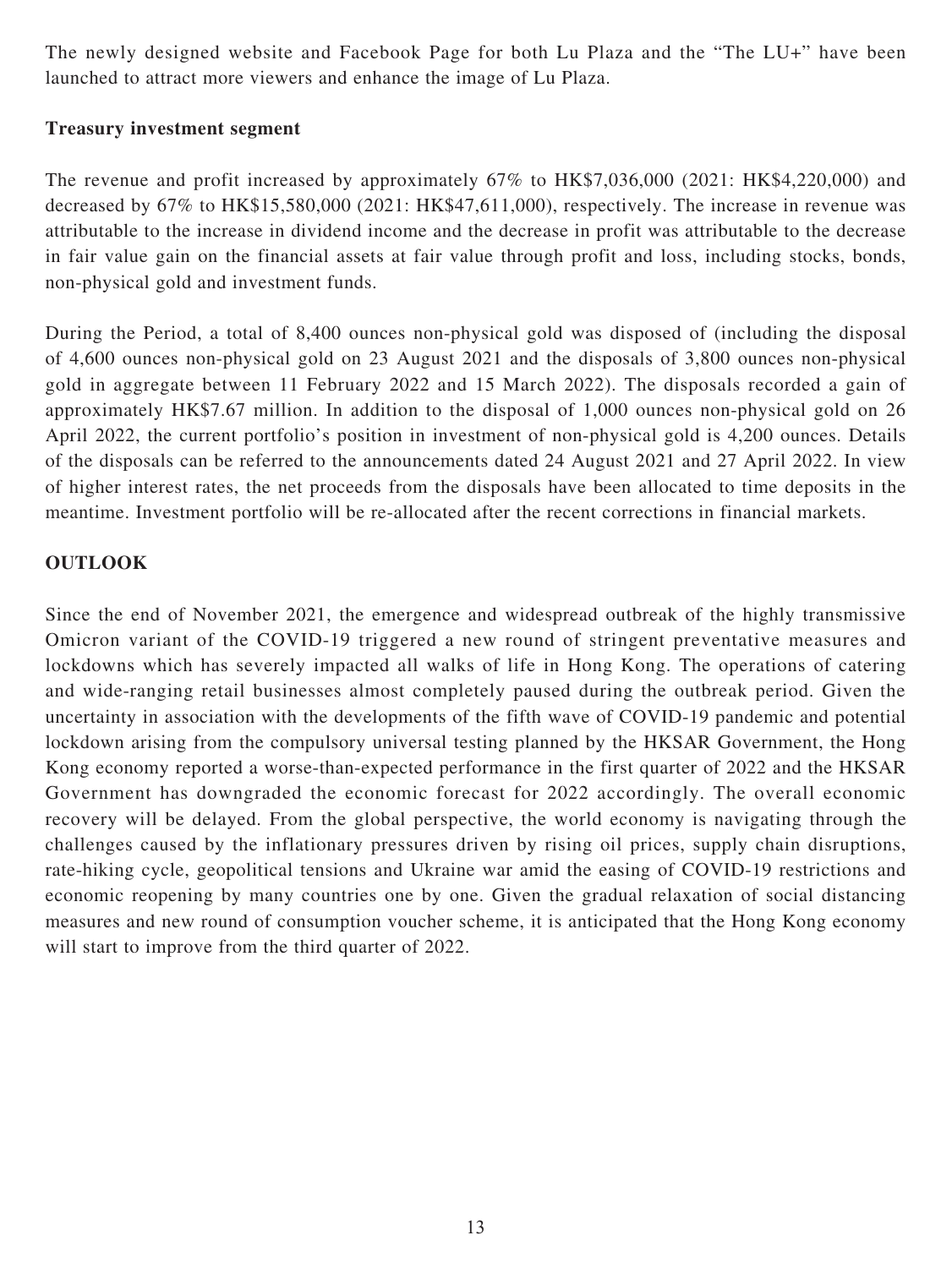The newly designed website and Facebook Page for both Lu Plaza and the "The LU+" have been launched to attract more viewers and enhance the image of Lu Plaza.

## **Treasury investment segment**

The revenue and profit increased by approximately 67% to HK\$7,036,000 (2021: HK\$4,220,000) and decreased by 67% to HK\$15,580,000 (2021: HK\$47,611,000), respectively. The increase in revenue was attributable to the increase in dividend income and the decrease in profit was attributable to the decrease in fair value gain on the financial assets at fair value through profit and loss, including stocks, bonds, non-physical gold and investment funds.

During the Period, a total of 8,400 ounces non-physical gold was disposed of (including the disposal of 4,600 ounces non-physical gold on 23 August 2021 and the disposals of 3,800 ounces non-physical gold in aggregate between 11 February 2022 and 15 March 2022). The disposals recorded a gain of approximately HK\$7.67 million. In addition to the disposal of 1,000 ounces non-physical gold on 26 April 2022, the current portfolio's position in investment of non-physical gold is 4,200 ounces. Details of the disposals can be referred to the announcements dated 24 August 2021 and 27 April 2022. In view of higher interest rates, the net proceeds from the disposals have been allocated to time deposits in the meantime. Investment portfolio will be re-allocated after the recent corrections in financial markets.

## **OUTLOOK**

Since the end of November 2021, the emergence and widespread outbreak of the highly transmissive Omicron variant of the COVID-19 triggered a new round of stringent preventative measures and lockdowns which has severely impacted all walks of life in Hong Kong. The operations of catering and wide-ranging retail businesses almost completely paused during the outbreak period. Given the uncertainty in association with the developments of the fifth wave of COVID-19 pandemic and potential lockdown arising from the compulsory universal testing planned by the HKSAR Government, the Hong Kong economy reported a worse-than-expected performance in the first quarter of 2022 and the HKSAR Government has downgraded the economic forecast for 2022 accordingly. The overall economic recovery will be delayed. From the global perspective, the world economy is navigating through the challenges caused by the inflationary pressures driven by rising oil prices, supply chain disruptions, rate-hiking cycle, geopolitical tensions and Ukraine war amid the easing of COVID-19 restrictions and economic reopening by many countries one by one. Given the gradual relaxation of social distancing measures and new round of consumption voucher scheme, it is anticipated that the Hong Kong economy will start to improve from the third quarter of 2022.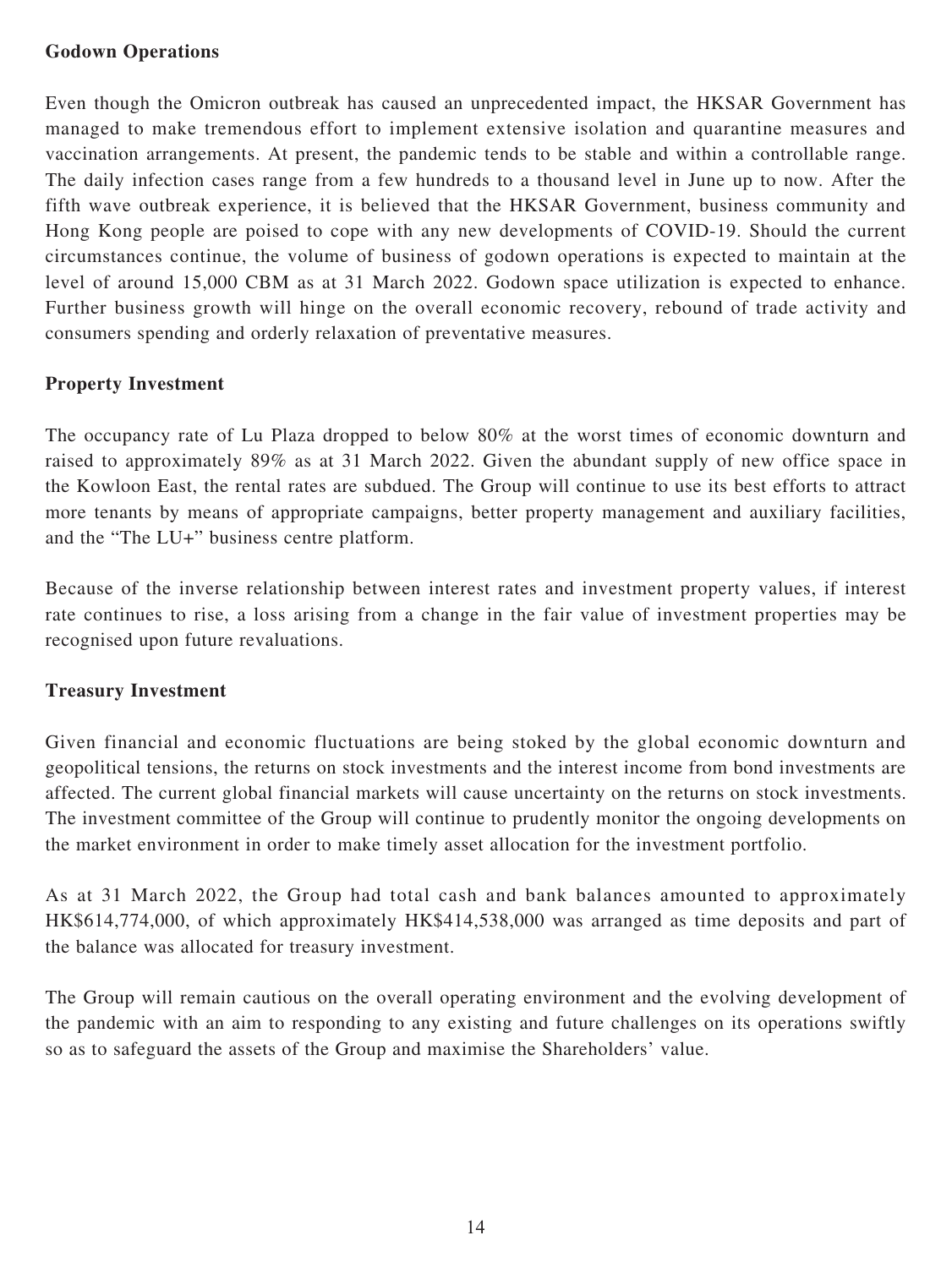## **Godown Operations**

Even though the Omicron outbreak has caused an unprecedented impact, the HKSAR Government has managed to make tremendous effort to implement extensive isolation and quarantine measures and vaccination arrangements. At present, the pandemic tends to be stable and within a controllable range. The daily infection cases range from a few hundreds to a thousand level in June up to now. After the fifth wave outbreak experience, it is believed that the HKSAR Government, business community and Hong Kong people are poised to cope with any new developments of COVID-19. Should the current circumstances continue, the volume of business of godown operations is expected to maintain at the level of around 15,000 CBM as at 31 March 2022. Godown space utilization is expected to enhance. Further business growth will hinge on the overall economic recovery, rebound of trade activity and consumers spending and orderly relaxation of preventative measures.

## **Property Investment**

The occupancy rate of Lu Plaza dropped to below 80% at the worst times of economic downturn and raised to approximately 89% as at 31 March 2022. Given the abundant supply of new office space in the Kowloon East, the rental rates are subdued. The Group will continue to use its best efforts to attract more tenants by means of appropriate campaigns, better property management and auxiliary facilities, and the "The LU+" business centre platform.

Because of the inverse relationship between interest rates and investment property values, if interest rate continues to rise, a loss arising from a change in the fair value of investment properties may be recognised upon future revaluations.

### **Treasury Investment**

Given financial and economic fluctuations are being stoked by the global economic downturn and geopolitical tensions, the returns on stock investments and the interest income from bond investments are affected. The current global financial markets will cause uncertainty on the returns on stock investments. The investment committee of the Group will continue to prudently monitor the ongoing developments on the market environment in order to make timely asset allocation for the investment portfolio.

As at 31 March 2022, the Group had total cash and bank balances amounted to approximately HK\$614,774,000, of which approximately HK\$414,538,000 was arranged as time deposits and part of the balance was allocated for treasury investment.

The Group will remain cautious on the overall operating environment and the evolving development of the pandemic with an aim to responding to any existing and future challenges on its operations swiftly so as to safeguard the assets of the Group and maximise the Shareholders' value.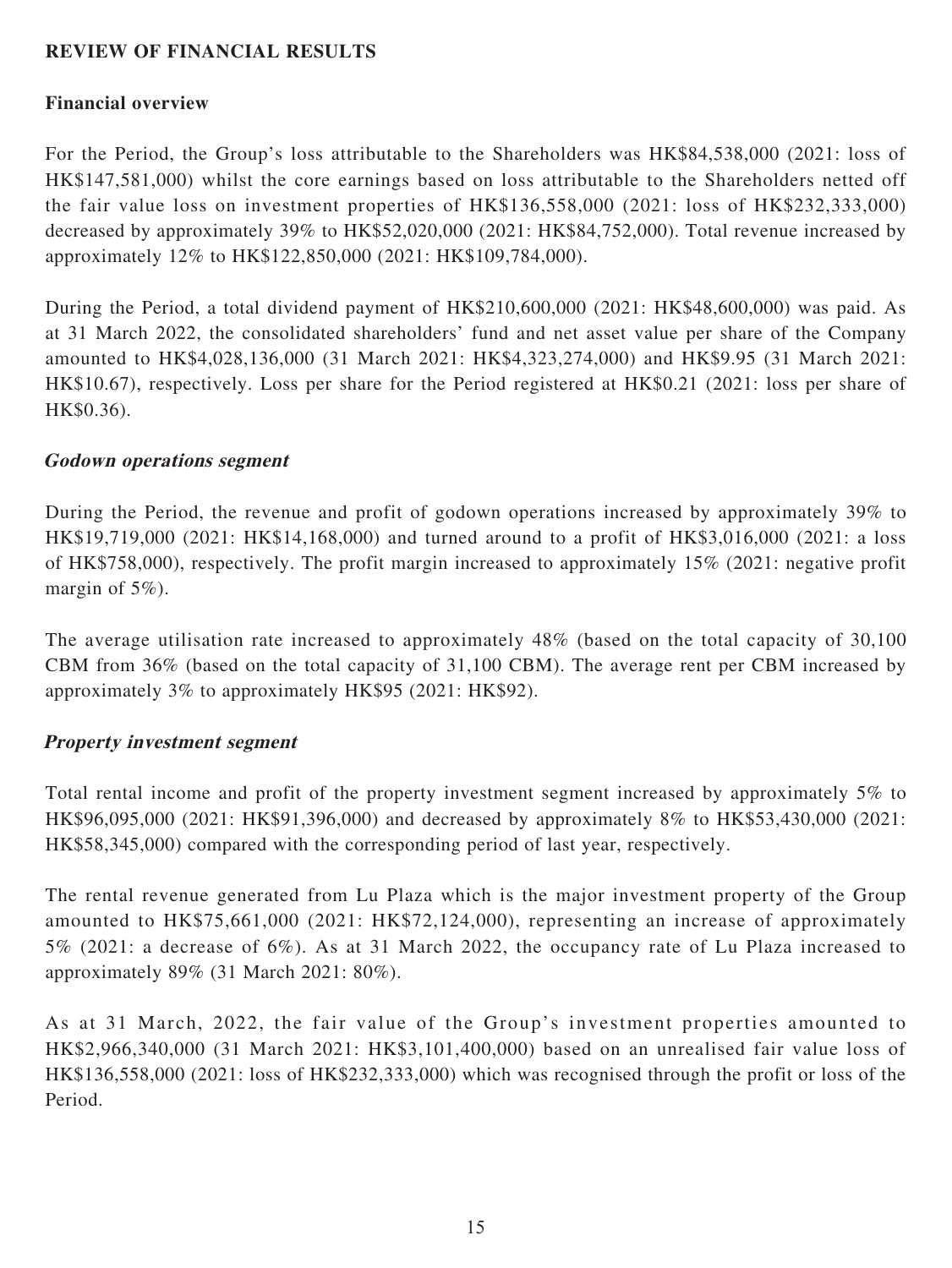## **REVIEW OF FINANCIAL RESULTS**

### **Financial overview**

For the Period, the Group's loss attributable to the Shareholders was HK\$84,538,000 (2021: loss of HK\$147,581,000) whilst the core earnings based on loss attributable to the Shareholders netted off the fair value loss on investment properties of HK\$136,558,000 (2021: loss of HK\$232,333,000) decreased by approximately 39% to HK\$52,020,000 (2021: HK\$84,752,000). Total revenue increased by approximately 12% to HK\$122,850,000 (2021: HK\$109,784,000).

During the Period, a total dividend payment of HK\$210,600,000 (2021: HK\$48,600,000) was paid. As at 31 March 2022, the consolidated shareholders' fund and net asset value per share of the Company amounted to HK\$4,028,136,000 (31 March 2021: HK\$4,323,274,000) and HK\$9.95 (31 March 2021: HK\$10.67), respectively. Loss per share for the Period registered at HK\$0.21 (2021: loss per share of HK\$0.36).

### **Godown operations segment**

During the Period, the revenue and profit of godown operations increased by approximately 39% to HK\$19,719,000 (2021: HK\$14,168,000) and turned around to a profit of HK\$3,016,000 (2021: a loss of HK\$758,000), respectively. The profit margin increased to approximately 15% (2021: negative profit margin of 5%).

The average utilisation rate increased to approximately 48% (based on the total capacity of 30,100 CBM from 36% (based on the total capacity of 31,100 CBM). The average rent per CBM increased by approximately 3% to approximately HK\$95 (2021: HK\$92).

### **Property investment segment**

Total rental income and profit of the property investment segment increased by approximately 5% to HK\$96,095,000 (2021: HK\$91,396,000) and decreased by approximately 8% to HK\$53,430,000 (2021: HK\$58,345,000) compared with the corresponding period of last year, respectively.

The rental revenue generated from Lu Plaza which is the major investment property of the Group amounted to HK\$75,661,000 (2021: HK\$72,124,000), representing an increase of approximately 5% (2021: a decrease of 6%). As at 31 March 2022, the occupancy rate of Lu Plaza increased to approximately 89% (31 March 2021: 80%).

As at 31 March, 2022, the fair value of the Group's investment properties amounted to HK\$2,966,340,000 (31 March 2021: HK\$3,101,400,000) based on an unrealised fair value loss of HK\$136,558,000 (2021: loss of HK\$232,333,000) which was recognised through the profit or loss of the Period.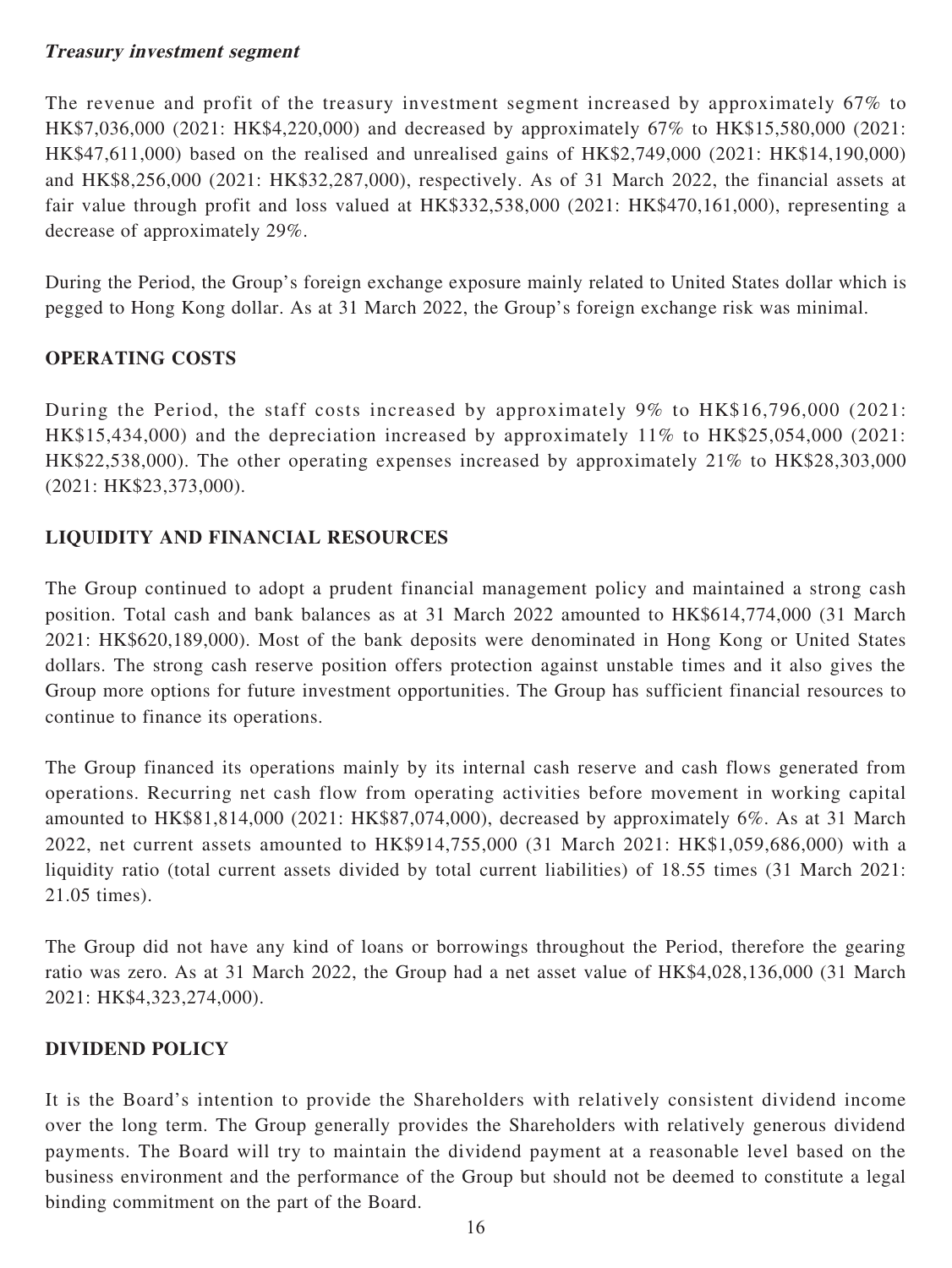## **Treasury investment segment**

The revenue and profit of the treasury investment segment increased by approximately 67% to HK\$7,036,000 (2021: HK\$4,220,000) and decreased by approximately 67% to HK\$15,580,000 (2021: HK\$47,611,000) based on the realised and unrealised gains of HK\$2,749,000 (2021: HK\$14,190,000) and HK\$8,256,000 (2021: HK\$32,287,000), respectively. As of 31 March 2022, the financial assets at fair value through profit and loss valued at HK\$332,538,000 (2021: HK\$470,161,000), representing a decrease of approximately 29%.

During the Period, the Group's foreign exchange exposure mainly related to United States dollar which is pegged to Hong Kong dollar. As at 31 March 2022, the Group's foreign exchange risk was minimal.

## **OPERATING COSTS**

During the Period, the staff costs increased by approximately 9% to HK\$16,796,000 (2021: HK\$15,434,000) and the depreciation increased by approximately 11% to HK\$25,054,000 (2021: HK\$22,538,000). The other operating expenses increased by approximately 21% to HK\$28,303,000 (2021: HK\$23,373,000).

### **LIQUIDITY AND FINANCIAL RESOURCES**

The Group continued to adopt a prudent financial management policy and maintained a strong cash position. Total cash and bank balances as at 31 March 2022 amounted to HK\$614,774,000 (31 March 2021: HK\$620,189,000). Most of the bank deposits were denominated in Hong Kong or United States dollars. The strong cash reserve position offers protection against unstable times and it also gives the Group more options for future investment opportunities. The Group has sufficient financial resources to continue to finance its operations.

The Group financed its operations mainly by its internal cash reserve and cash flows generated from operations. Recurring net cash flow from operating activities before movement in working capital amounted to HK\$81,814,000 (2021: HK\$87,074,000), decreased by approximately 6%. As at 31 March 2022, net current assets amounted to HK\$914,755,000 (31 March 2021: HK\$1,059,686,000) with a liquidity ratio (total current assets divided by total current liabilities) of 18.55 times (31 March 2021: 21.05 times).

The Group did not have any kind of loans or borrowings throughout the Period, therefore the gearing ratio was zero. As at 31 March 2022, the Group had a net asset value of HK\$4,028,136,000 (31 March 2021: HK\$4,323,274,000).

### **DIVIDEND POLICY**

It is the Board's intention to provide the Shareholders with relatively consistent dividend income over the long term. The Group generally provides the Shareholders with relatively generous dividend payments. The Board will try to maintain the dividend payment at a reasonable level based on the business environment and the performance of the Group but should not be deemed to constitute a legal binding commitment on the part of the Board.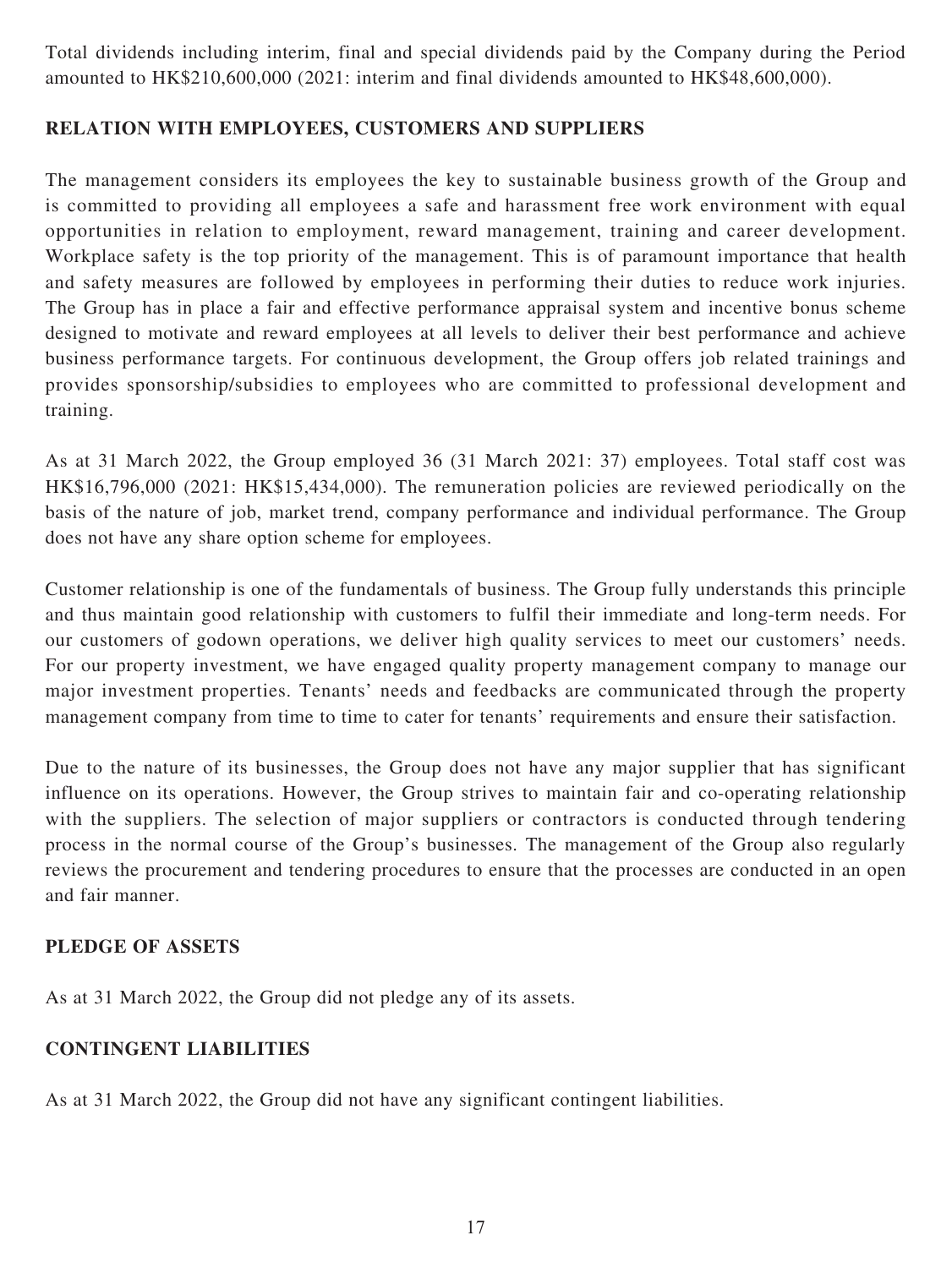Total dividends including interim, final and special dividends paid by the Company during the Period amounted to HK\$210,600,000 (2021: interim and final dividends amounted to HK\$48,600,000).

## **RELATION WITH EMPLOYEES, CUSTOMERS AND SUPPLIERS**

The management considers its employees the key to sustainable business growth of the Group and is committed to providing all employees a safe and harassment free work environment with equal opportunities in relation to employment, reward management, training and career development. Workplace safety is the top priority of the management. This is of paramount importance that health and safety measures are followed by employees in performing their duties to reduce work injuries. The Group has in place a fair and effective performance appraisal system and incentive bonus scheme designed to motivate and reward employees at all levels to deliver their best performance and achieve business performance targets. For continuous development, the Group offers job related trainings and provides sponsorship/subsidies to employees who are committed to professional development and training.

As at 31 March 2022, the Group employed 36 (31 March 2021: 37) employees. Total staff cost was HK\$16,796,000 (2021: HK\$15,434,000). The remuneration policies are reviewed periodically on the basis of the nature of job, market trend, company performance and individual performance. The Group does not have any share option scheme for employees.

Customer relationship is one of the fundamentals of business. The Group fully understands this principle and thus maintain good relationship with customers to fulfil their immediate and long-term needs. For our customers of godown operations, we deliver high quality services to meet our customers' needs. For our property investment, we have engaged quality property management company to manage our major investment properties. Tenants' needs and feedbacks are communicated through the property management company from time to time to cater for tenants' requirements and ensure their satisfaction.

Due to the nature of its businesses, the Group does not have any major supplier that has significant influence on its operations. However, the Group strives to maintain fair and co-operating relationship with the suppliers. The selection of major suppliers or contractors is conducted through tendering process in the normal course of the Group's businesses. The management of the Group also regularly reviews the procurement and tendering procedures to ensure that the processes are conducted in an open and fair manner.

### **PLEDGE OF ASSETS**

As at 31 March 2022, the Group did not pledge any of its assets.

# **CONTINGENT LIABILITIES**

As at 31 March 2022, the Group did not have any significant contingent liabilities.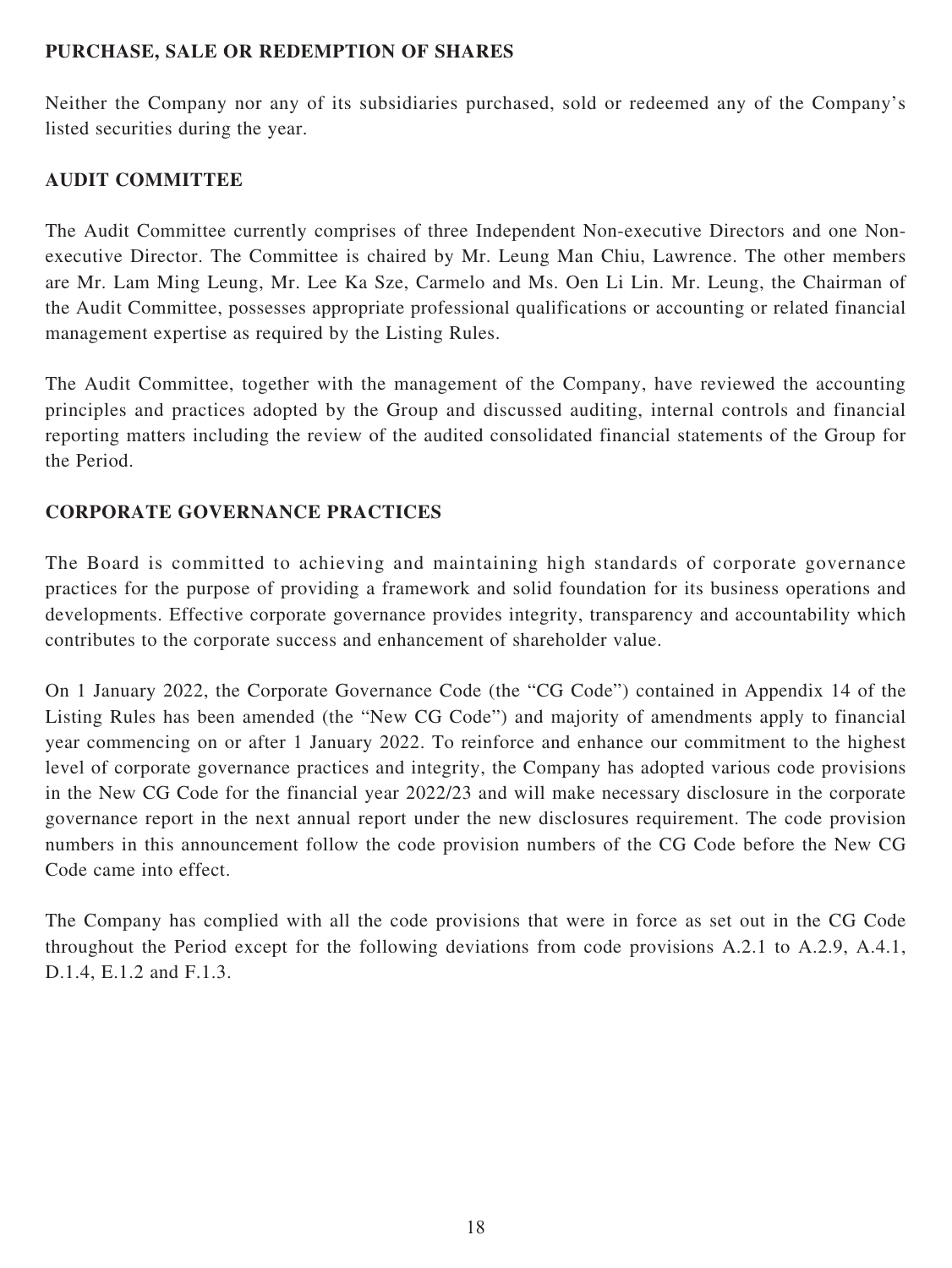## **PURCHASE, SALE OR REDEMPTION OF SHARES**

Neither the Company nor any of its subsidiaries purchased, sold or redeemed any of the Company's listed securities during the year.

# **AUDIT COMMITTEE**

The Audit Committee currently comprises of three Independent Non-executive Directors and one Nonexecutive Director. The Committee is chaired by Mr. Leung Man Chiu, Lawrence. The other members are Mr. Lam Ming Leung, Mr. Lee Ka Sze, Carmelo and Ms. Oen Li Lin. Mr. Leung, the Chairman of the Audit Committee, possesses appropriate professional qualifications or accounting or related financial management expertise as required by the Listing Rules.

The Audit Committee, together with the management of the Company, have reviewed the accounting principles and practices adopted by the Group and discussed auditing, internal controls and financial reporting matters including the review of the audited consolidated financial statements of the Group for the Period.

## **CORPORATE GOVERNANCE PRACTICES**

The Board is committed to achieving and maintaining high standards of corporate governance practices for the purpose of providing a framework and solid foundation for its business operations and developments. Effective corporate governance provides integrity, transparency and accountability which contributes to the corporate success and enhancement of shareholder value.

On 1 January 2022, the Corporate Governance Code (the "CG Code") contained in Appendix 14 of the Listing Rules has been amended (the "New CG Code") and majority of amendments apply to financial year commencing on or after 1 January 2022. To reinforce and enhance our commitment to the highest level of corporate governance practices and integrity, the Company has adopted various code provisions in the New CG Code for the financial year 2022/23 and will make necessary disclosure in the corporate governance report in the next annual report under the new disclosures requirement. The code provision numbers in this announcement follow the code provision numbers of the CG Code before the New CG Code came into effect.

The Company has complied with all the code provisions that were in force as set out in the CG Code throughout the Period except for the following deviations from code provisions A.2.1 to A.2.9, A.4.1, D.1.4, E.1.2 and F.1.3.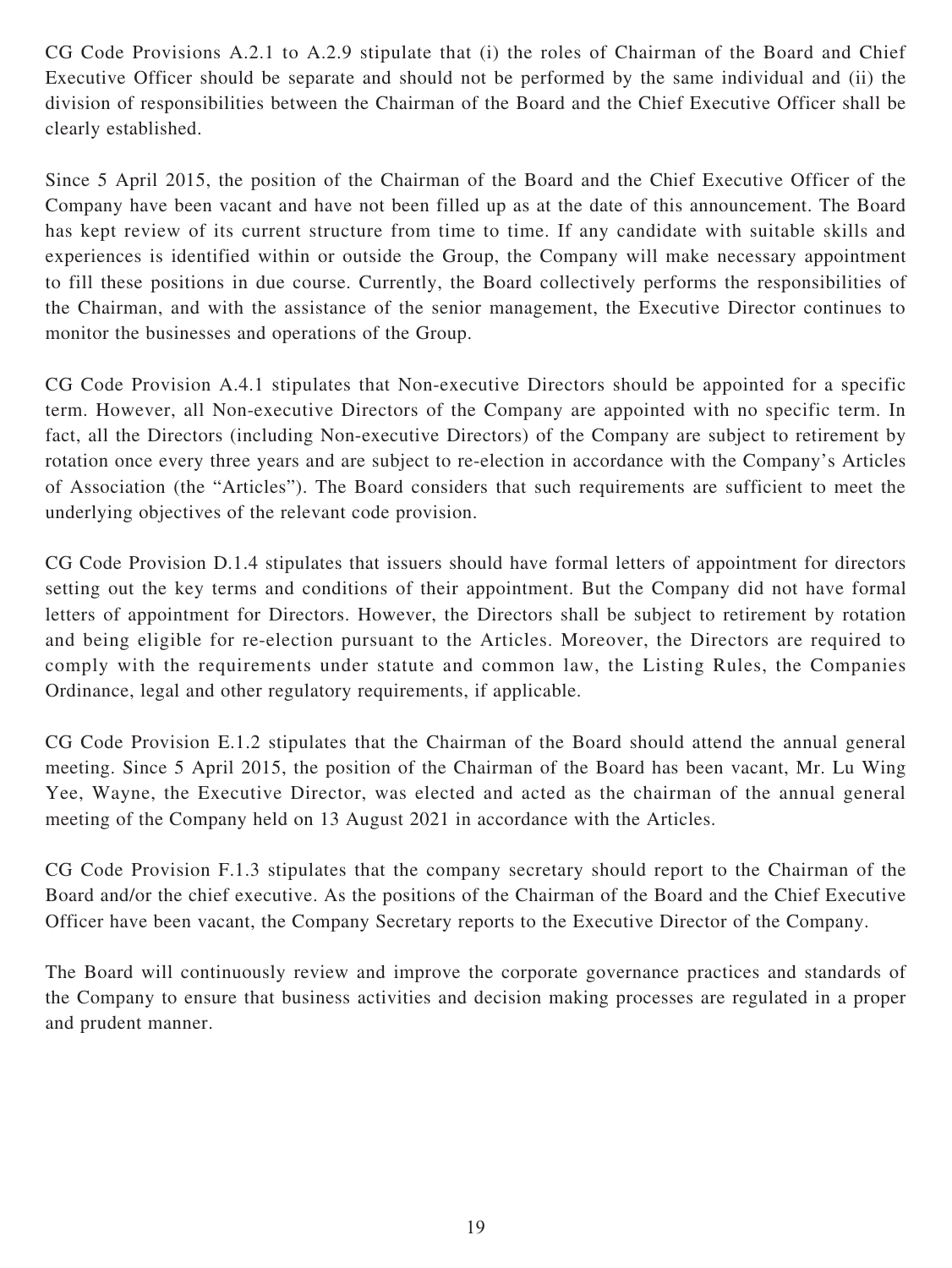CG Code Provisions A.2.1 to A.2.9 stipulate that (i) the roles of Chairman of the Board and Chief Executive Officer should be separate and should not be performed by the same individual and (ii) the division of responsibilities between the Chairman of the Board and the Chief Executive Officer shall be clearly established.

Since 5 April 2015, the position of the Chairman of the Board and the Chief Executive Officer of the Company have been vacant and have not been filled up as at the date of this announcement. The Board has kept review of its current structure from time to time. If any candidate with suitable skills and experiences is identified within or outside the Group, the Company will make necessary appointment to fill these positions in due course. Currently, the Board collectively performs the responsibilities of the Chairman, and with the assistance of the senior management, the Executive Director continues to monitor the businesses and operations of the Group.

CG Code Provision A.4.1 stipulates that Non-executive Directors should be appointed for a specific term. However, all Non-executive Directors of the Company are appointed with no specific term. In fact, all the Directors (including Non-executive Directors) of the Company are subject to retirement by rotation once every three years and are subject to re-election in accordance with the Company's Articles of Association (the "Articles"). The Board considers that such requirements are sufficient to meet the underlying objectives of the relevant code provision.

CG Code Provision D.1.4 stipulates that issuers should have formal letters of appointment for directors setting out the key terms and conditions of their appointment. But the Company did not have formal letters of appointment for Directors. However, the Directors shall be subject to retirement by rotation and being eligible for re-election pursuant to the Articles. Moreover, the Directors are required to comply with the requirements under statute and common law, the Listing Rules, the Companies Ordinance, legal and other regulatory requirements, if applicable.

CG Code Provision E.1.2 stipulates that the Chairman of the Board should attend the annual general meeting. Since 5 April 2015, the position of the Chairman of the Board has been vacant, Mr. Lu Wing Yee, Wayne, the Executive Director, was elected and acted as the chairman of the annual general meeting of the Company held on 13 August 2021 in accordance with the Articles.

CG Code Provision F.1.3 stipulates that the company secretary should report to the Chairman of the Board and/or the chief executive. As the positions of the Chairman of the Board and the Chief Executive Officer have been vacant, the Company Secretary reports to the Executive Director of the Company.

The Board will continuously review and improve the corporate governance practices and standards of the Company to ensure that business activities and decision making processes are regulated in a proper and prudent manner.